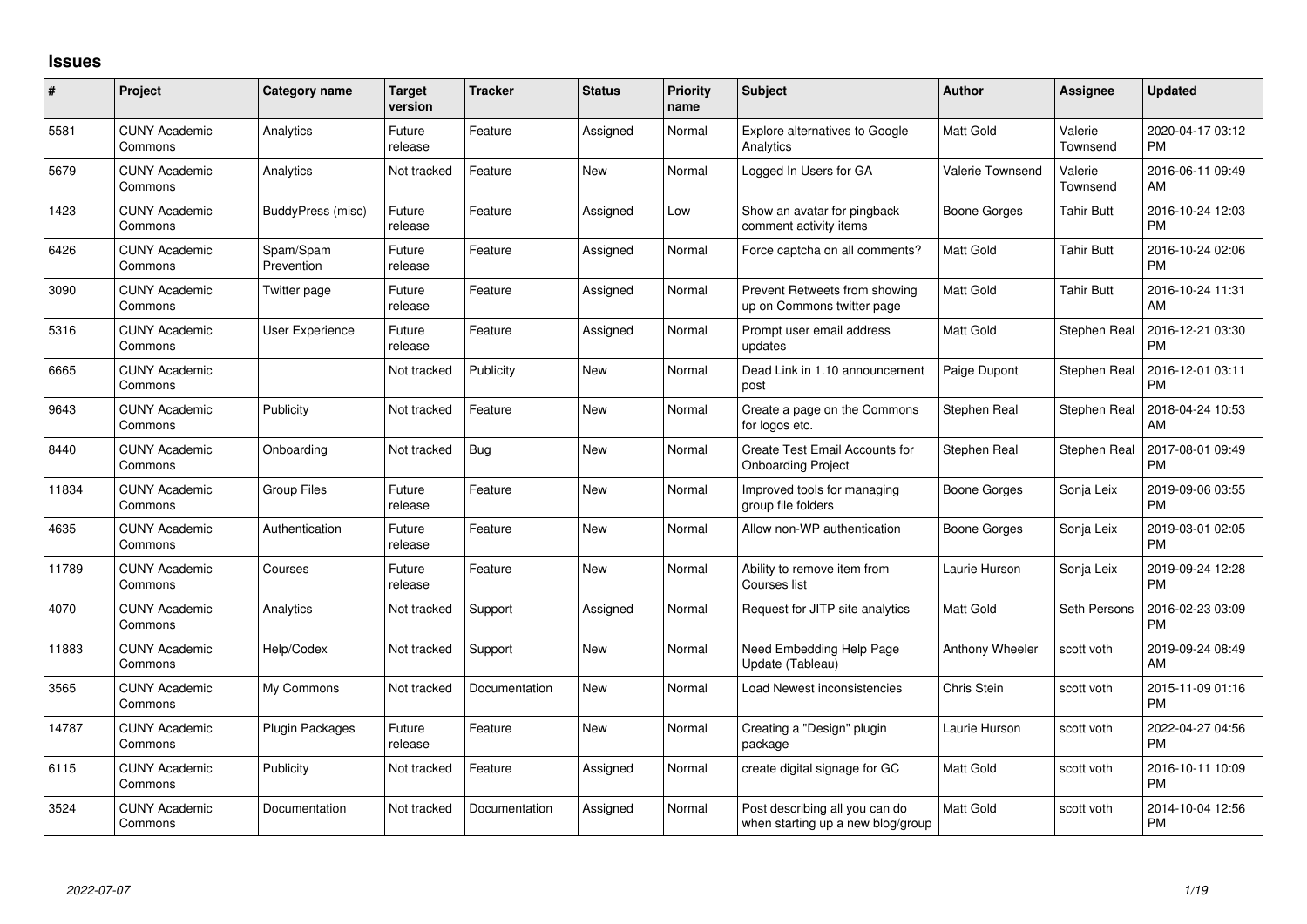## **Issues**

| $\#$  | Project                         | <b>Category name</b>     | Target<br>version | <b>Tracker</b> | <b>Status</b> | <b>Priority</b><br>name | <b>Subject</b>                                                      | <b>Author</b>           | Assignee            | <b>Updated</b>                |
|-------|---------------------------------|--------------------------|-------------------|----------------|---------------|-------------------------|---------------------------------------------------------------------|-------------------------|---------------------|-------------------------------|
| 5581  | <b>CUNY Academic</b><br>Commons | Analytics                | Future<br>release | Feature        | Assigned      | Normal                  | Explore alternatives to Google<br>Analytics                         | <b>Matt Gold</b>        | Valerie<br>Townsend | 2020-04-17 03:12<br><b>PM</b> |
| 5679  | <b>CUNY Academic</b><br>Commons | Analytics                | Not tracked       | Feature        | New           | Normal                  | Logged In Users for GA                                              | <b>Valerie Townsend</b> | Valerie<br>Townsend | 2016-06-11 09:49<br>AM        |
| 1423  | <b>CUNY Academic</b><br>Commons | <b>BuddyPress</b> (misc) | Future<br>release | Feature        | Assigned      | Low                     | Show an avatar for pingback<br>comment activity items               | Boone Gorges            | <b>Tahir Butt</b>   | 2016-10-24 12:03<br><b>PM</b> |
| 6426  | <b>CUNY Academic</b><br>Commons | Spam/Spam<br>Prevention  | Future<br>release | Feature        | Assigned      | Normal                  | Force captcha on all comments?                                      | <b>Matt Gold</b>        | Tahir Butt          | 2016-10-24 02:06<br><b>PM</b> |
| 3090  | <b>CUNY Academic</b><br>Commons | Twitter page             | Future<br>release | Feature        | Assigned      | Normal                  | Prevent Retweets from showing<br>up on Commons twitter page         | <b>Matt Gold</b>        | <b>Tahir Butt</b>   | 2016-10-24 11:31<br>AM        |
| 5316  | <b>CUNY Academic</b><br>Commons | User Experience          | Future<br>release | Feature        | Assigned      | Normal                  | Prompt user email address<br>updates                                | <b>Matt Gold</b>        | Stephen Real        | 2016-12-21 03:30<br><b>PM</b> |
| 6665  | <b>CUNY Academic</b><br>Commons |                          | Not tracked       | Publicity      | New           | Normal                  | Dead Link in 1.10 announcement<br>post                              | Paige Dupont            | Stephen Real        | 2016-12-01 03:11<br><b>PM</b> |
| 9643  | <b>CUNY Academic</b><br>Commons | Publicity                | Not tracked       | Feature        | <b>New</b>    | Normal                  | Create a page on the Commons<br>for logos etc.                      | Stephen Real            | Stephen Real        | 2018-04-24 10:53<br>AM        |
| 8440  | <b>CUNY Academic</b><br>Commons | Onboarding               | Not tracked       | Bug            | New           | Normal                  | <b>Create Test Email Accounts for</b><br><b>Onboarding Project</b>  | Stephen Real            | Stephen Real        | 2017-08-01 09:49<br><b>PM</b> |
| 11834 | <b>CUNY Academic</b><br>Commons | Group Files              | Future<br>release | Feature        | New           | Normal                  | Improved tools for managing<br>group file folders                   | Boone Gorges            | Sonja Leix          | 2019-09-06 03:55<br><b>PM</b> |
| 4635  | <b>CUNY Academic</b><br>Commons | Authentication           | Future<br>release | Feature        | New           | Normal                  | Allow non-WP authentication                                         | Boone Gorges            | Sonja Leix          | 2019-03-01 02:05<br><b>PM</b> |
| 11789 | <b>CUNY Academic</b><br>Commons | Courses                  | Future<br>release | Feature        | <b>New</b>    | Normal                  | Ability to remove item from<br>Courses list                         | Laurie Hurson           | Sonja Leix          | 2019-09-24 12:28<br><b>PM</b> |
| 4070  | <b>CUNY Academic</b><br>Commons | Analytics                | Not tracked       | Support        | Assigned      | Normal                  | Request for JITP site analytics                                     | <b>Matt Gold</b>        | Seth Persons        | 2016-02-23 03:09<br><b>PM</b> |
| 11883 | <b>CUNY Academic</b><br>Commons | Help/Codex               | Not tracked       | Support        | New           | Normal                  | Need Embedding Help Page<br>Update (Tableau)                        | Anthony Wheeler         | scott voth          | 2019-09-24 08:49<br>AM        |
| 3565  | <b>CUNY Academic</b><br>Commons | My Commons               | Not tracked       | Documentation  | New           | Normal                  | Load Newest inconsistencies                                         | Chris Stein             | scott voth          | 2015-11-09 01:16<br><b>PM</b> |
| 14787 | <b>CUNY Academic</b><br>Commons | Plugin Packages          | Future<br>release | Feature        | <b>New</b>    | Normal                  | Creating a "Design" plugin<br>package                               | Laurie Hurson           | scott voth          | 2022-04-27 04:56<br><b>PM</b> |
| 6115  | <b>CUNY Academic</b><br>Commons | Publicity                | Not tracked       | Feature        | Assigned      | Normal                  | create digital signage for GC                                       | <b>Matt Gold</b>        | scott voth          | 2016-10-11 10:09<br><b>PM</b> |
| 3524  | <b>CUNY Academic</b><br>Commons | Documentation            | Not tracked       | Documentation  | Assigned      | Normal                  | Post describing all you can do<br>when starting up a new blog/group | Matt Gold               | scott voth          | 2014-10-04 12:56<br>PM        |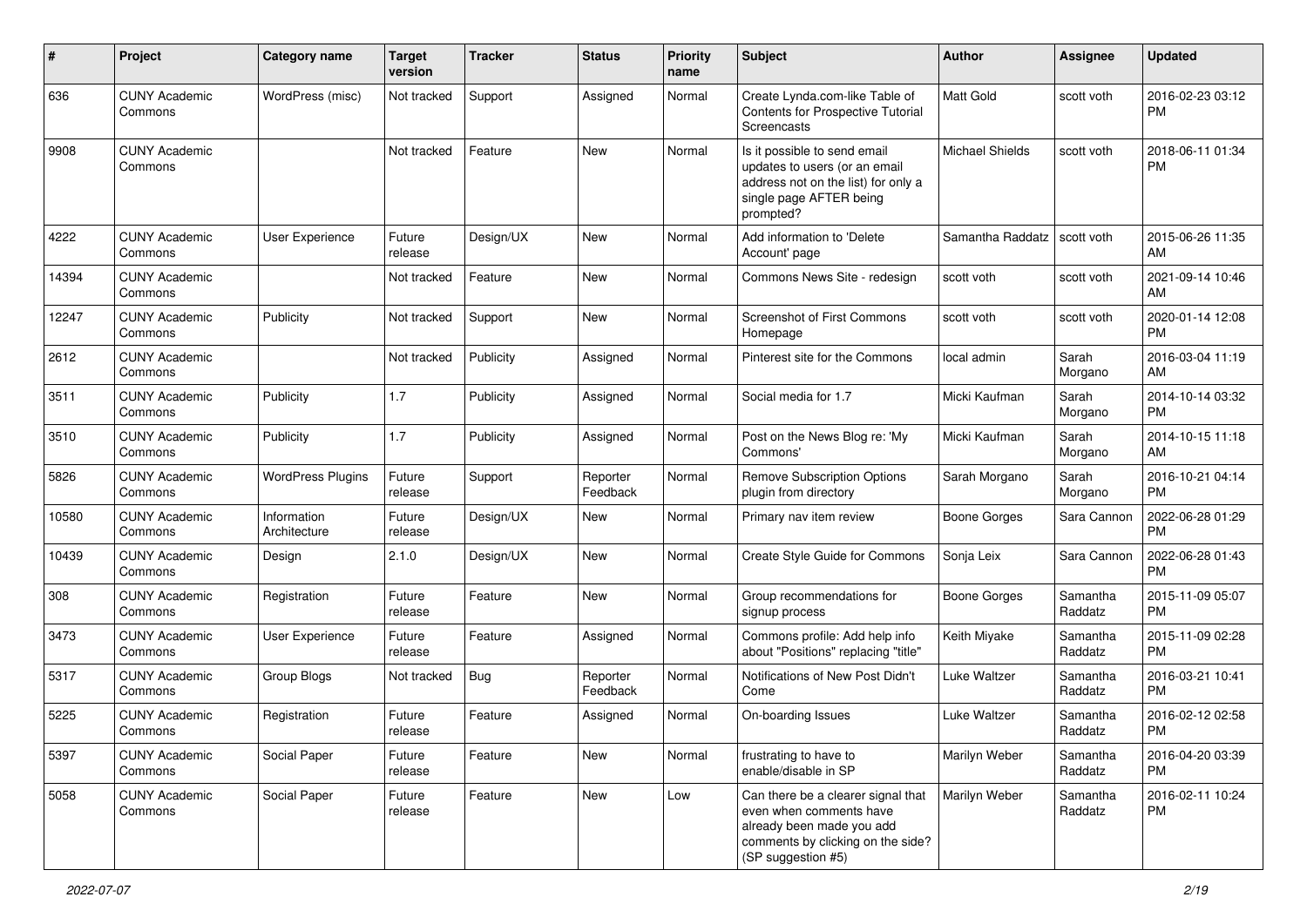| #     | Project                         | <b>Category name</b>        | <b>Target</b><br>version | <b>Tracker</b> | <b>Status</b>        | Priority<br>name | <b>Subject</b>                                                                                                                                        | Author                 | <b>Assignee</b>     | <b>Updated</b>                |
|-------|---------------------------------|-----------------------------|--------------------------|----------------|----------------------|------------------|-------------------------------------------------------------------------------------------------------------------------------------------------------|------------------------|---------------------|-------------------------------|
| 636   | <b>CUNY Academic</b><br>Commons | WordPress (misc)            | Not tracked              | Support        | Assigned             | Normal           | Create Lynda.com-like Table of<br>Contents for Prospective Tutorial<br><b>Screencasts</b>                                                             | <b>Matt Gold</b>       | scott voth          | 2016-02-23 03:12<br><b>PM</b> |
| 9908  | <b>CUNY Academic</b><br>Commons |                             | Not tracked              | Feature        | <b>New</b>           | Normal           | Is it possible to send email<br>updates to users (or an email<br>address not on the list) for only a<br>single page AFTER being<br>prompted?          | <b>Michael Shields</b> | scott voth          | 2018-06-11 01:34<br><b>PM</b> |
| 4222  | <b>CUNY Academic</b><br>Commons | <b>User Experience</b>      | Future<br>release        | Design/UX      | New                  | Normal           | Add information to 'Delete<br>Account' page                                                                                                           | Samantha Raddatz       | scott voth          | 2015-06-26 11:35<br>AM        |
| 14394 | <b>CUNY Academic</b><br>Commons |                             | Not tracked              | Feature        | <b>New</b>           | Normal           | Commons News Site - redesign                                                                                                                          | scott voth             | scott voth          | 2021-09-14 10:46<br>AM        |
| 12247 | <b>CUNY Academic</b><br>Commons | Publicity                   | Not tracked              | Support        | <b>New</b>           | Normal           | Screenshot of First Commons<br>Homepage                                                                                                               | scott voth             | scott voth          | 2020-01-14 12:08<br><b>PM</b> |
| 2612  | <b>CUNY Academic</b><br>Commons |                             | Not tracked              | Publicity      | Assigned             | Normal           | Pinterest site for the Commons                                                                                                                        | local admin            | Sarah<br>Morgano    | 2016-03-04 11:19<br>AM        |
| 3511  | <b>CUNY Academic</b><br>Commons | Publicity                   | 1.7                      | Publicity      | Assigned             | Normal           | Social media for 1.7                                                                                                                                  | Micki Kaufman          | Sarah<br>Morgano    | 2014-10-14 03:32<br><b>PM</b> |
| 3510  | <b>CUNY Academic</b><br>Commons | Publicity                   | 1.7                      | Publicity      | Assigned             | Normal           | Post on the News Blog re: 'My<br>Commons'                                                                                                             | Micki Kaufman          | Sarah<br>Morgano    | 2014-10-15 11:18<br>AM        |
| 5826  | <b>CUNY Academic</b><br>Commons | <b>WordPress Plugins</b>    | Future<br>release        | Support        | Reporter<br>Feedback | Normal           | <b>Remove Subscription Options</b><br>plugin from directory                                                                                           | Sarah Morgano          | Sarah<br>Morgano    | 2016-10-21 04:14<br><b>PM</b> |
| 10580 | <b>CUNY Academic</b><br>Commons | Information<br>Architecture | Future<br>release        | Design/UX      | New                  | Normal           | Primary nav item review                                                                                                                               | <b>Boone Gorges</b>    | Sara Cannon         | 2022-06-28 01:29<br><b>PM</b> |
| 10439 | <b>CUNY Academic</b><br>Commons | Design                      | 2.1.0                    | Design/UX      | <b>New</b>           | Normal           | Create Style Guide for Commons                                                                                                                        | Sonja Leix             | Sara Cannon         | 2022-06-28 01:43<br><b>PM</b> |
| 308   | <b>CUNY Academic</b><br>Commons | Registration                | Future<br>release        | Feature        | <b>New</b>           | Normal           | Group recommendations for<br>signup process                                                                                                           | Boone Gorges           | Samantha<br>Raddatz | 2015-11-09 05:07<br><b>PM</b> |
| 3473  | <b>CUNY Academic</b><br>Commons | User Experience             | Future<br>release        | Feature        | Assigned             | Normal           | Commons profile: Add help info<br>about "Positions" replacing "title"                                                                                 | Keith Miyake           | Samantha<br>Raddatz | 2015-11-09 02:28<br><b>PM</b> |
| 5317  | <b>CUNY Academic</b><br>Commons | <b>Group Blogs</b>          | Not tracked              | Bug            | Reporter<br>Feedback | Normal           | Notifications of New Post Didn't<br>Come                                                                                                              | Luke Waltzer           | Samantha<br>Raddatz | 2016-03-21 10:41<br><b>PM</b> |
| 5225  | <b>CUNY Academic</b><br>Commons | Registration                | Future<br>release        | Feature        | Assigned             | Normal           | On-boarding Issues                                                                                                                                    | Luke Waltzer           | Samantha<br>Raddatz | 2016-02-12 02:58<br><b>PM</b> |
| 5397  | <b>CUNY Academic</b><br>Commons | Social Paper                | Future<br>release        | Feature        | New                  | Normal           | frustrating to have to<br>enable/disable in SP                                                                                                        | Marilyn Weber          | Samantha<br>Raddatz | 2016-04-20 03:39<br><b>PM</b> |
| 5058  | <b>CUNY Academic</b><br>Commons | Social Paper                | Future<br>release        | Feature        | New                  | Low              | Can there be a clearer signal that<br>even when comments have<br>already been made you add<br>comments by clicking on the side?<br>(SP suggestion #5) | Marilyn Weber          | Samantha<br>Raddatz | 2016-02-11 10:24<br>PM        |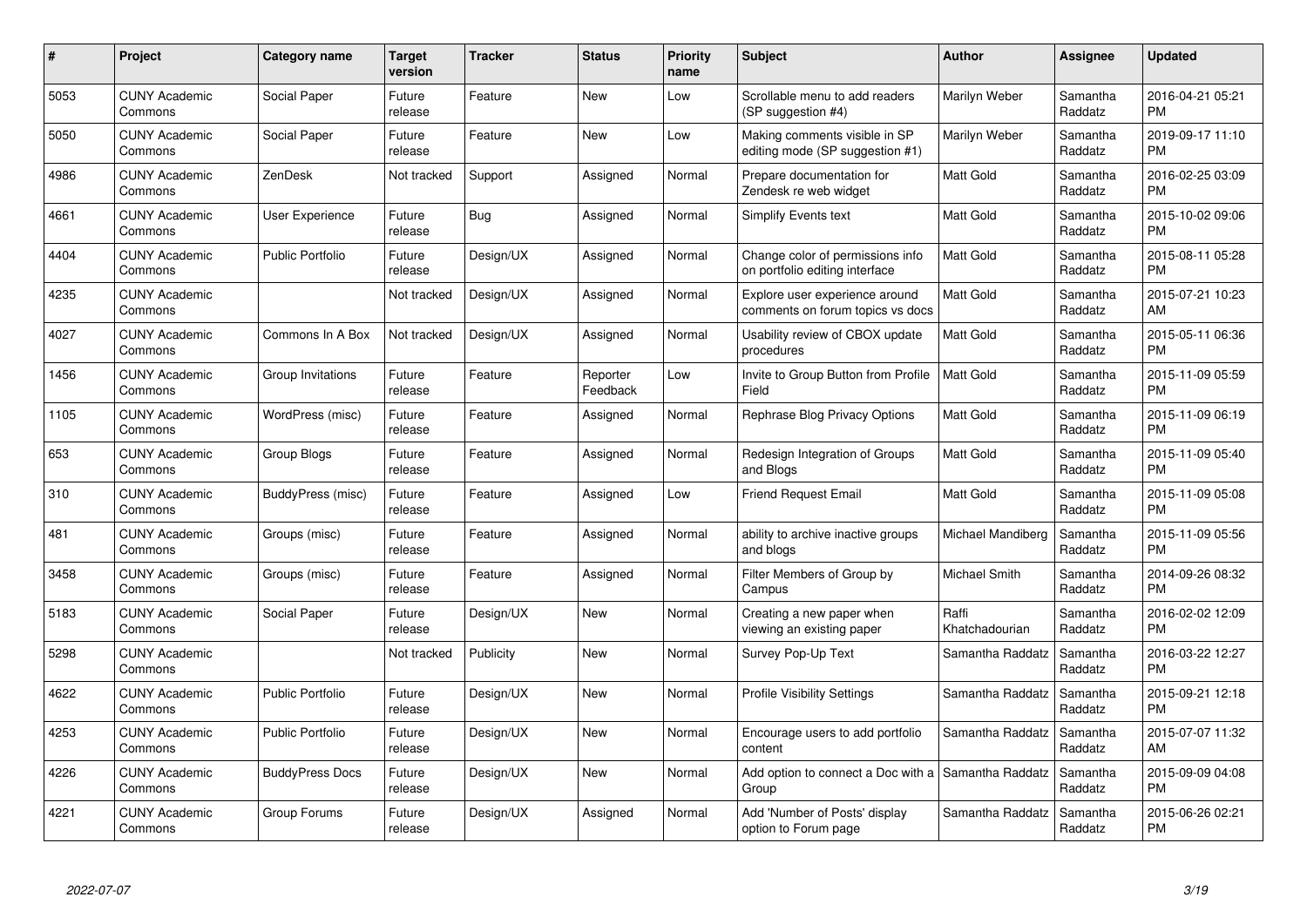| #    | Project                         | <b>Category name</b>    | <b>Target</b><br>version | <b>Tracker</b> | <b>Status</b>        | <b>Priority</b><br>name | <b>Subject</b>                                                     | <b>Author</b>           | Assignee            | <b>Updated</b>                |
|------|---------------------------------|-------------------------|--------------------------|----------------|----------------------|-------------------------|--------------------------------------------------------------------|-------------------------|---------------------|-------------------------------|
| 5053 | <b>CUNY Academic</b><br>Commons | Social Paper            | Future<br>release        | Feature        | <b>New</b>           | Low                     | Scrollable menu to add readers<br>(SP suggestion #4)               | Marilyn Weber           | Samantha<br>Raddatz | 2016-04-21 05:21<br><b>PM</b> |
| 5050 | <b>CUNY Academic</b><br>Commons | Social Paper            | Future<br>release        | Feature        | New                  | Low                     | Making comments visible in SP<br>editing mode (SP suggestion #1)   | Marilyn Weber           | Samantha<br>Raddatz | 2019-09-17 11:10<br><b>PM</b> |
| 4986 | <b>CUNY Academic</b><br>Commons | ZenDesk                 | Not tracked              | Support        | Assigned             | Normal                  | Prepare documentation for<br>Zendesk re web widget                 | <b>Matt Gold</b>        | Samantha<br>Raddatz | 2016-02-25 03:09<br><b>PM</b> |
| 4661 | <b>CUNY Academic</b><br>Commons | User Experience         | Future<br>release        | Bug            | Assigned             | Normal                  | <b>Simplify Events text</b>                                        | Matt Gold               | Samantha<br>Raddatz | 2015-10-02 09:06<br><b>PM</b> |
| 4404 | <b>CUNY Academic</b><br>Commons | <b>Public Portfolio</b> | Future<br>release        | Design/UX      | Assigned             | Normal                  | Change color of permissions info<br>on portfolio editing interface | <b>Matt Gold</b>        | Samantha<br>Raddatz | 2015-08-11 05:28<br><b>PM</b> |
| 4235 | <b>CUNY Academic</b><br>Commons |                         | Not tracked              | Design/UX      | Assigned             | Normal                  | Explore user experience around<br>comments on forum topics vs docs | <b>Matt Gold</b>        | Samantha<br>Raddatz | 2015-07-21 10:23<br>AM        |
| 4027 | <b>CUNY Academic</b><br>Commons | Commons In A Box        | Not tracked              | Design/UX      | Assigned             | Normal                  | Usability review of CBOX update<br>procedures                      | Matt Gold               | Samantha<br>Raddatz | 2015-05-11 06:36<br><b>PM</b> |
| 1456 | <b>CUNY Academic</b><br>Commons | Group Invitations       | Future<br>release        | Feature        | Reporter<br>Feedback | Low                     | Invite to Group Button from Profile<br>Field                       | <b>Matt Gold</b>        | Samantha<br>Raddatz | 2015-11-09 05:59<br><b>PM</b> |
| 1105 | <b>CUNY Academic</b><br>Commons | WordPress (misc)        | Future<br>release        | Feature        | Assigned             | Normal                  | Rephrase Blog Privacy Options                                      | Matt Gold               | Samantha<br>Raddatz | 2015-11-09 06:19<br><b>PM</b> |
| 653  | <b>CUNY Academic</b><br>Commons | <b>Group Blogs</b>      | Future<br>release        | Feature        | Assigned             | Normal                  | Redesign Integration of Groups<br>and Blogs                        | <b>Matt Gold</b>        | Samantha<br>Raddatz | 2015-11-09 05:40<br>PM        |
| 310  | <b>CUNY Academic</b><br>Commons | BuddyPress (misc)       | Future<br>release        | Feature        | Assigned             | Low                     | <b>Friend Request Email</b>                                        | Matt Gold               | Samantha<br>Raddatz | 2015-11-09 05:08<br><b>PM</b> |
| 481  | <b>CUNY Academic</b><br>Commons | Groups (misc)           | Future<br>release        | Feature        | Assigned             | Normal                  | ability to archive inactive groups<br>and blogs                    | Michael Mandiberg       | Samantha<br>Raddatz | 2015-11-09 05:56<br><b>PM</b> |
| 3458 | <b>CUNY Academic</b><br>Commons | Groups (misc)           | Future<br>release        | Feature        | Assigned             | Normal                  | Filter Members of Group by<br>Campus                               | Michael Smith           | Samantha<br>Raddatz | 2014-09-26 08:32<br><b>PM</b> |
| 5183 | <b>CUNY Academic</b><br>Commons | Social Paper            | Future<br>release        | Design/UX      | <b>New</b>           | Normal                  | Creating a new paper when<br>viewing an existing paper             | Raffi<br>Khatchadourian | Samantha<br>Raddatz | 2016-02-02 12:09<br><b>PM</b> |
| 5298 | <b>CUNY Academic</b><br>Commons |                         | Not tracked              | Publicity      | New                  | Normal                  | Survey Pop-Up Text                                                 | Samantha Raddatz        | Samantha<br>Raddatz | 2016-03-22 12:27<br><b>PM</b> |
| 4622 | <b>CUNY Academic</b><br>Commons | <b>Public Portfolio</b> | Future<br>release        | Design/UX      | New                  | Normal                  | <b>Profile Visibility Settings</b>                                 | Samantha Raddatz        | Samantha<br>Raddatz | 2015-09-21 12:18<br><b>PM</b> |
| 4253 | <b>CUNY Academic</b><br>Commons | <b>Public Portfolio</b> | Future<br>release        | Design/UX      | <b>New</b>           | Normal                  | Encourage users to add portfolio<br>content                        | Samantha Raddatz        | Samantha<br>Raddatz | 2015-07-07 11:32<br>AM        |
| 4226 | <b>CUNY Academic</b><br>Commons | <b>BuddyPress Docs</b>  | Future<br>release        | Design/UX      | <b>New</b>           | Normal                  | Add option to connect a Doc with a<br>Group                        | Samantha Raddatz        | Samantha<br>Raddatz | 2015-09-09 04:08<br><b>PM</b> |
| 4221 | CUNY Academic<br>Commons        | Group Forums            | Future<br>release        | Design/UX      | Assigned             | Normal                  | Add 'Number of Posts' display<br>option to Forum page              | Samantha Raddatz        | Samantha<br>Raddatz | 2015-06-26 02:21<br>PM        |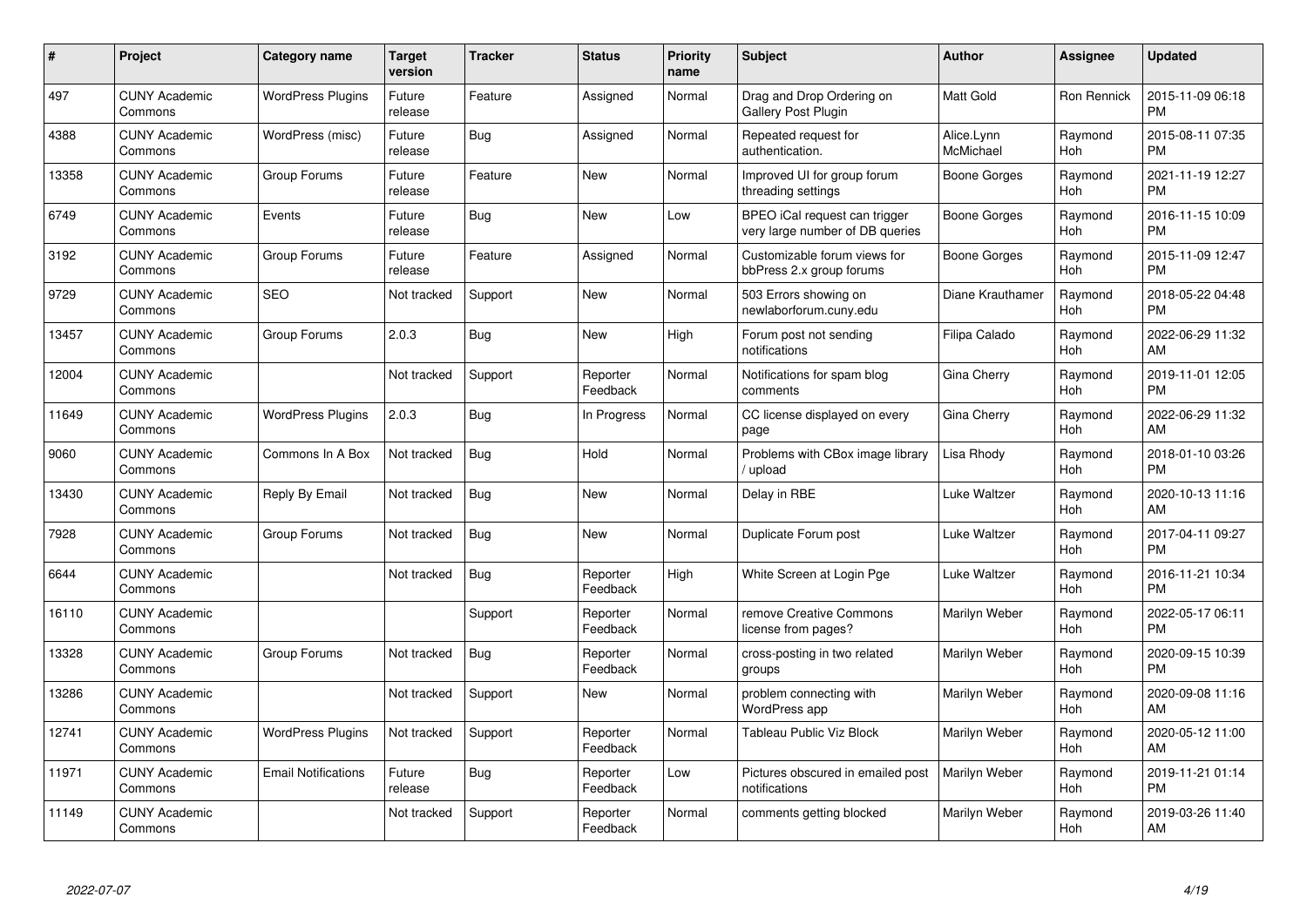| #     | <b>Project</b>                  | <b>Category name</b>       | <b>Target</b><br>version | <b>Tracker</b> | <b>Status</b>        | <b>Priority</b><br>name | <b>Subject</b>                                                   | <b>Author</b>           | <b>Assignee</b>    | <b>Updated</b>                |
|-------|---------------------------------|----------------------------|--------------------------|----------------|----------------------|-------------------------|------------------------------------------------------------------|-------------------------|--------------------|-------------------------------|
| 497   | <b>CUNY Academic</b><br>Commons | <b>WordPress Plugins</b>   | Future<br>release        | Feature        | Assigned             | Normal                  | Drag and Drop Ordering on<br><b>Gallery Post Plugin</b>          | <b>Matt Gold</b>        | <b>Ron Rennick</b> | 2015-11-09 06:18<br><b>PM</b> |
| 4388  | <b>CUNY Academic</b><br>Commons | WordPress (misc)           | Future<br>release        | Bug            | Assigned             | Normal                  | Repeated request for<br>authentication.                          | Alice.Lynn<br>McMichael | Raymond<br>Hoh     | 2015-08-11 07:35<br><b>PM</b> |
| 13358 | <b>CUNY Academic</b><br>Commons | Group Forums               | Future<br>release        | Feature        | <b>New</b>           | Normal                  | Improved UI for group forum<br>threading settings                | Boone Gorges            | Raymond<br>Hoh     | 2021-11-19 12:27<br><b>PM</b> |
| 6749  | <b>CUNY Academic</b><br>Commons | Events                     | Future<br>release        | Bug            | New                  | Low                     | BPEO iCal request can trigger<br>very large number of DB queries | Boone Gorges            | Raymond<br>Hoh     | 2016-11-15 10:09<br><b>PM</b> |
| 3192  | <b>CUNY Academic</b><br>Commons | Group Forums               | Future<br>release        | Feature        | Assigned             | Normal                  | Customizable forum views for<br>bbPress 2.x group forums         | Boone Gorges            | Raymond<br>Hoh     | 2015-11-09 12:47<br><b>PM</b> |
| 9729  | <b>CUNY Academic</b><br>Commons | <b>SEO</b>                 | Not tracked              | Support        | <b>New</b>           | Normal                  | 503 Errors showing on<br>newlaborforum.cuny.edu                  | Diane Krauthamer        | Raymond<br>Hoh     | 2018-05-22 04:48<br><b>PM</b> |
| 13457 | <b>CUNY Academic</b><br>Commons | Group Forums               | 2.0.3                    | Bug            | <b>New</b>           | High                    | Forum post not sending<br>notifications                          | Filipa Calado           | Raymond<br>Hoh     | 2022-06-29 11:32<br>AM        |
| 12004 | <b>CUNY Academic</b><br>Commons |                            | Not tracked              | Support        | Reporter<br>Feedback | Normal                  | Notifications for spam blog<br>comments                          | Gina Cherry             | Raymond<br>Hoh     | 2019-11-01 12:05<br><b>PM</b> |
| 11649 | <b>CUNY Academic</b><br>Commons | <b>WordPress Plugins</b>   | 2.0.3                    | Bug            | In Progress          | Normal                  | CC license displayed on every<br>page                            | Gina Cherry             | Raymond<br>Hoh     | 2022-06-29 11:32<br>AM        |
| 9060  | <b>CUNY Academic</b><br>Commons | Commons In A Box           | Not tracked              | Bug            | Hold                 | Normal                  | Problems with CBox image library<br>/ upload                     | Lisa Rhody              | Raymond<br>Hoh     | 2018-01-10 03:26<br><b>PM</b> |
| 13430 | <b>CUNY Academic</b><br>Commons | Reply By Email             | Not tracked              | Bug            | <b>New</b>           | Normal                  | Delay in RBE                                                     | Luke Waltzer            | Raymond<br>Hoh     | 2020-10-13 11:16<br>AM        |
| 7928  | <b>CUNY Academic</b><br>Commons | Group Forums               | Not tracked              | Bug            | New                  | Normal                  | Duplicate Forum post                                             | Luke Waltzer            | Raymond<br>Hoh     | 2017-04-11 09:27<br><b>PM</b> |
| 6644  | <b>CUNY Academic</b><br>Commons |                            | Not tracked              | <b>Bug</b>     | Reporter<br>Feedback | High                    | White Screen at Login Pge                                        | Luke Waltzer            | Raymond<br>Hoh     | 2016-11-21 10:34<br><b>PM</b> |
| 16110 | <b>CUNY Academic</b><br>Commons |                            |                          | Support        | Reporter<br>Feedback | Normal                  | remove Creative Commons<br>license from pages?                   | Marilyn Weber           | Raymond<br>Hoh     | 2022-05-17 06:11<br><b>PM</b> |
| 13328 | <b>CUNY Academic</b><br>Commons | Group Forums               | Not tracked              | Bug            | Reporter<br>Feedback | Normal                  | cross-posting in two related<br>groups                           | Marilyn Weber           | Raymond<br>Hoh     | 2020-09-15 10:39<br><b>PM</b> |
| 13286 | <b>CUNY Academic</b><br>Commons |                            | Not tracked              | Support        | New                  | Normal                  | problem connecting with<br>WordPress app                         | Marilyn Weber           | Raymond<br>Hoh     | 2020-09-08 11:16<br>AM        |
| 12741 | <b>CUNY Academic</b><br>Commons | <b>WordPress Plugins</b>   | Not tracked              | Support        | Reporter<br>Feedback | Normal                  | <b>Tableau Public Viz Block</b>                                  | Marilyn Weber           | Raymond<br>Hoh     | 2020-05-12 11:00<br>AM        |
| 11971 | <b>CUNY Academic</b><br>Commons | <b>Email Notifications</b> | Future<br>release        | Bug            | Reporter<br>Feedback | Low                     | Pictures obscured in emailed post<br>notifications               | Marilyn Weber           | Raymond<br>Hoh     | 2019-11-21 01:14<br><b>PM</b> |
| 11149 | <b>CUNY Academic</b><br>Commons |                            | Not tracked              | Support        | Reporter<br>Feedback | Normal                  | comments getting blocked                                         | Marilyn Weber           | Raymond<br>Hoh     | 2019-03-26 11:40<br>AM        |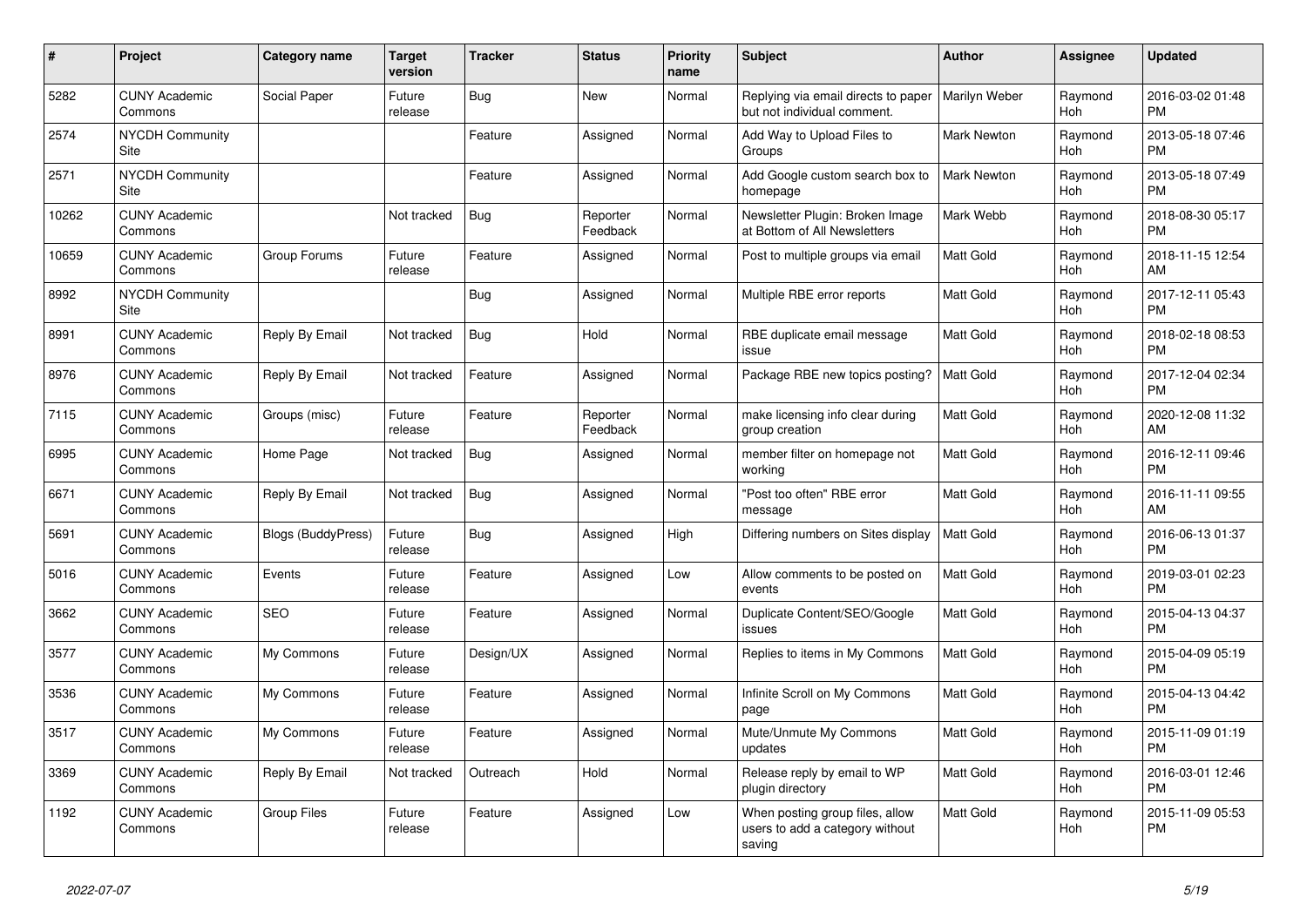| #     | <b>Project</b>                  | <b>Category name</b>      | <b>Target</b><br>version | <b>Tracker</b> | <b>Status</b>        | <b>Priority</b><br>name | <b>Subject</b>                                                               | <b>Author</b>    | Assignee       | <b>Updated</b>                |
|-------|---------------------------------|---------------------------|--------------------------|----------------|----------------------|-------------------------|------------------------------------------------------------------------------|------------------|----------------|-------------------------------|
| 5282  | <b>CUNY Academic</b><br>Commons | Social Paper              | Future<br>release        | Bug            | New                  | Normal                  | Replying via email directs to paper<br>but not individual comment.           | Marilyn Weber    | Raymond<br>Hoh | 2016-03-02 01:48<br><b>PM</b> |
| 2574  | <b>NYCDH Community</b><br>Site  |                           |                          | Feature        | Assigned             | Normal                  | Add Way to Upload Files to<br>Groups                                         | Mark Newton      | Raymond<br>Hoh | 2013-05-18 07:46<br><b>PM</b> |
| 2571  | <b>NYCDH Community</b><br>Site  |                           |                          | Feature        | Assigned             | Normal                  | Add Google custom search box to<br>homepage                                  | Mark Newton      | Raymond<br>Hoh | 2013-05-18 07:49<br><b>PM</b> |
| 10262 | <b>CUNY Academic</b><br>Commons |                           | Not tracked              | <b>Bug</b>     | Reporter<br>Feedback | Normal                  | Newsletter Plugin: Broken Image<br>at Bottom of All Newsletters              | Mark Webb        | Raymond<br>Hoh | 2018-08-30 05:17<br><b>PM</b> |
| 10659 | <b>CUNY Academic</b><br>Commons | Group Forums              | Future<br>release        | Feature        | Assigned             | Normal                  | Post to multiple groups via email                                            | <b>Matt Gold</b> | Raymond<br>Hoh | 2018-11-15 12:54<br>AM        |
| 8992  | <b>NYCDH Community</b><br>Site  |                           |                          | Bug            | Assigned             | Normal                  | Multiple RBE error reports                                                   | <b>Matt Gold</b> | Raymond<br>Hoh | 2017-12-11 05:43<br><b>PM</b> |
| 8991  | <b>CUNY Academic</b><br>Commons | Reply By Email            | Not tracked              | <b>Bug</b>     | Hold                 | Normal                  | RBE duplicate email message<br>issue                                         | <b>Matt Gold</b> | Raymond<br>Hoh | 2018-02-18 08:53<br><b>PM</b> |
| 8976  | <b>CUNY Academic</b><br>Commons | Reply By Email            | Not tracked              | Feature        | Assigned             | Normal                  | Package RBE new topics posting?                                              | <b>Matt Gold</b> | Raymond<br>Hoh | 2017-12-04 02:34<br><b>PM</b> |
| 7115  | <b>CUNY Academic</b><br>Commons | Groups (misc)             | Future<br>release        | Feature        | Reporter<br>Feedback | Normal                  | make licensing info clear during<br>group creation                           | <b>Matt Gold</b> | Raymond<br>Hoh | 2020-12-08 11:32<br>AM        |
| 6995  | <b>CUNY Academic</b><br>Commons | Home Page                 | Not tracked              | Bug            | Assigned             | Normal                  | member filter on homepage not<br>working                                     | Matt Gold        | Raymond<br>Hoh | 2016-12-11 09:46<br><b>PM</b> |
| 6671  | <b>CUNY Academic</b><br>Commons | Reply By Email            | Not tracked              | <b>Bug</b>     | Assigned             | Normal                  | "Post too often" RBE error<br>message                                        | <b>Matt Gold</b> | Raymond<br>Hoh | 2016-11-11 09:55<br>AM        |
| 5691  | <b>CUNY Academic</b><br>Commons | <b>Blogs (BuddyPress)</b> | Future<br>release        | Bug            | Assigned             | High                    | Differing numbers on Sites display                                           | l Matt Gold      | Raymond<br>Hoh | 2016-06-13 01:37<br><b>PM</b> |
| 5016  | <b>CUNY Academic</b><br>Commons | Events                    | Future<br>release        | Feature        | Assigned             | Low                     | Allow comments to be posted on<br>events                                     | <b>Matt Gold</b> | Raymond<br>Hoh | 2019-03-01 02:23<br><b>PM</b> |
| 3662  | <b>CUNY Academic</b><br>Commons | <b>SEO</b>                | Future<br>release        | Feature        | Assigned             | Normal                  | Duplicate Content/SEO/Google<br>issues                                       | <b>Matt Gold</b> | Raymond<br>Hoh | 2015-04-13 04:37<br><b>PM</b> |
| 3577  | <b>CUNY Academic</b><br>Commons | My Commons                | Future<br>release        | Design/UX      | Assigned             | Normal                  | Replies to items in My Commons                                               | <b>Matt Gold</b> | Raymond<br>Hoh | 2015-04-09 05:19<br><b>PM</b> |
| 3536  | <b>CUNY Academic</b><br>Commons | My Commons                | Future<br>release        | Feature        | Assigned             | Normal                  | Infinite Scroll on My Commons<br>page                                        | <b>Matt Gold</b> | Raymond<br>Hoh | 2015-04-13 04:42<br><b>PM</b> |
| 3517  | <b>CUNY Academic</b><br>Commons | My Commons                | Future<br>release        | Feature        | Assigned             | Normal                  | Mute/Unmute My Commons<br>updates                                            | <b>Matt Gold</b> | Raymond<br>Hoh | 2015-11-09 01:19<br><b>PM</b> |
| 3369  | <b>CUNY Academic</b><br>Commons | Reply By Email            | Not tracked              | Outreach       | Hold                 | Normal                  | Release reply by email to WP<br>plugin directory                             | <b>Matt Gold</b> | Raymond<br>Hoh | 2016-03-01 12:46<br><b>PM</b> |
| 1192  | <b>CUNY Academic</b><br>Commons | Group Files               | Future<br>release        | Feature        | Assigned             | Low                     | When posting group files, allow<br>users to add a category without<br>saving | <b>Matt Gold</b> | Raymond<br>Hoh | 2015-11-09 05:53<br><b>PM</b> |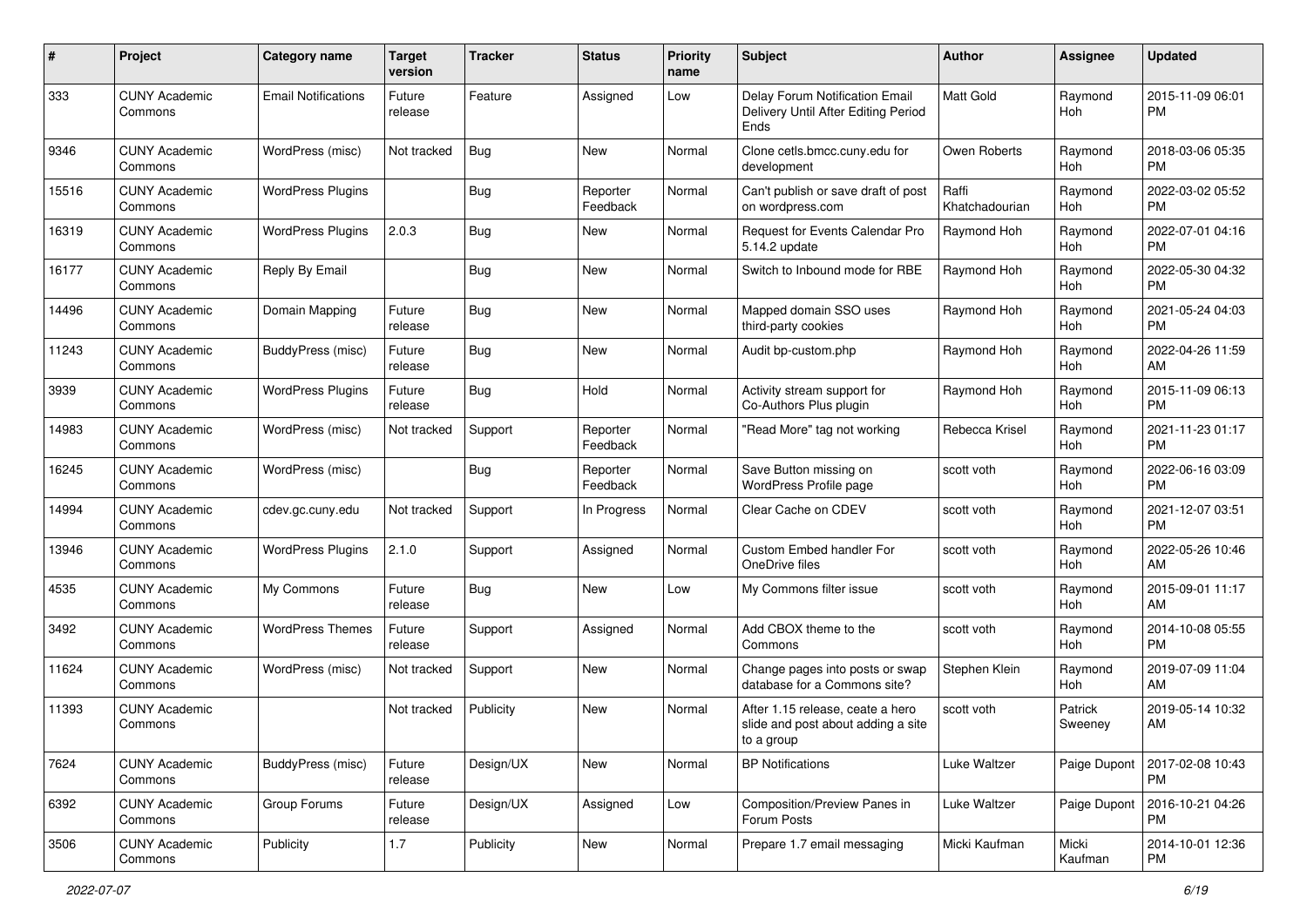| #     | Project                         | <b>Category name</b>       | <b>Target</b><br>version | <b>Tracker</b> | <b>Status</b>        | <b>Priority</b><br>name | <b>Subject</b>                                                                       | Author                  | <b>Assignee</b>    | <b>Updated</b>                |
|-------|---------------------------------|----------------------------|--------------------------|----------------|----------------------|-------------------------|--------------------------------------------------------------------------------------|-------------------------|--------------------|-------------------------------|
| 333   | <b>CUNY Academic</b><br>Commons | <b>Email Notifications</b> | Future<br>release        | Feature        | Assigned             | Low                     | Delay Forum Notification Email<br>Delivery Until After Editing Period<br>Ends        | <b>Matt Gold</b>        | Raymond<br>Hoh     | 2015-11-09 06:01<br><b>PM</b> |
| 9346  | <b>CUNY Academic</b><br>Commons | WordPress (misc)           | Not tracked              | <b>Bug</b>     | <b>New</b>           | Normal                  | Clone cetls.bmcc.cuny.edu for<br>development                                         | Owen Roberts            | Raymond<br>Hoh     | 2018-03-06 05:35<br><b>PM</b> |
| 15516 | <b>CUNY Academic</b><br>Commons | <b>WordPress Plugins</b>   |                          | <b>Bug</b>     | Reporter<br>Feedback | Normal                  | Can't publish or save draft of post<br>on wordpress.com                              | Raffi<br>Khatchadourian | Raymond<br>Hoh     | 2022-03-02 05:52<br><b>PM</b> |
| 16319 | <b>CUNY Academic</b><br>Commons | <b>WordPress Plugins</b>   | 2.0.3                    | <b>Bug</b>     | New                  | Normal                  | Request for Events Calendar Pro<br>5.14.2 update                                     | Raymond Hoh             | Raymond<br>Hoh     | 2022-07-01 04:16<br><b>PM</b> |
| 16177 | <b>CUNY Academic</b><br>Commons | Reply By Email             |                          | Bug            | New                  | Normal                  | Switch to Inbound mode for RBE                                                       | Raymond Hoh             | Raymond<br>Hoh     | 2022-05-30 04:32<br><b>PM</b> |
| 14496 | <b>CUNY Academic</b><br>Commons | Domain Mapping             | Future<br>release        | <b>Bug</b>     | New                  | Normal                  | Mapped domain SSO uses<br>third-party cookies                                        | Raymond Hoh             | Raymond<br>Hoh     | 2021-05-24 04:03<br><b>PM</b> |
| 11243 | <b>CUNY Academic</b><br>Commons | BuddyPress (misc)          | Future<br>release        | Bug            | New                  | Normal                  | Audit bp-custom.php                                                                  | Raymond Hoh             | Raymond<br>Hoh     | 2022-04-26 11:59<br>AM        |
| 3939  | <b>CUNY Academic</b><br>Commons | <b>WordPress Plugins</b>   | Future<br>release        | Bug            | Hold                 | Normal                  | Activity stream support for<br>Co-Authors Plus plugin                                | Raymond Hoh             | Raymond<br>Hoh     | 2015-11-09 06:13<br><b>PM</b> |
| 14983 | <b>CUNY Academic</b><br>Commons | WordPress (misc)           | Not tracked              | Support        | Reporter<br>Feedback | Normal                  | "Read More" tag not working                                                          | Rebecca Krisel          | Raymond<br>Hoh     | 2021-11-23 01:17<br><b>PM</b> |
| 16245 | <b>CUNY Academic</b><br>Commons | WordPress (misc)           |                          | <b>Bug</b>     | Reporter<br>Feedback | Normal                  | Save Button missing on<br>WordPress Profile page                                     | scott voth              | Raymond<br>Hoh     | 2022-06-16 03:09<br><b>PM</b> |
| 14994 | <b>CUNY Academic</b><br>Commons | cdev.gc.cuny.edu           | Not tracked              | Support        | In Progress          | Normal                  | Clear Cache on CDEV                                                                  | scott voth              | Raymond<br>Hoh     | 2021-12-07 03:51<br><b>PM</b> |
| 13946 | <b>CUNY Academic</b><br>Commons | <b>WordPress Plugins</b>   | 2.1.0                    | Support        | Assigned             | Normal                  | Custom Embed handler For<br>OneDrive files                                           | scott voth              | Raymond<br>Hoh     | 2022-05-26 10:46<br>AM        |
| 4535  | <b>CUNY Academic</b><br>Commons | My Commons                 | Future<br>release        | <b>Bug</b>     | New                  | Low                     | My Commons filter issue                                                              | scott voth              | Raymond<br>Hoh     | 2015-09-01 11:17<br>AM        |
| 3492  | <b>CUNY Academic</b><br>Commons | <b>WordPress Themes</b>    | Future<br>release        | Support        | Assigned             | Normal                  | Add CBOX theme to the<br>Commons                                                     | scott voth              | Raymond<br>Hoh     | 2014-10-08 05:55<br><b>PM</b> |
| 11624 | <b>CUNY Academic</b><br>Commons | WordPress (misc)           | Not tracked              | Support        | New                  | Normal                  | Change pages into posts or swap<br>database for a Commons site?                      | Stephen Klein           | Raymond<br>Hoh     | 2019-07-09 11:04<br>AM        |
| 11393 | <b>CUNY Academic</b><br>Commons |                            | Not tracked              | Publicity      | New                  | Normal                  | After 1.15 release, ceate a hero<br>slide and post about adding a site<br>to a group | scott voth              | Patrick<br>Sweeney | 2019-05-14 10:32<br>AM        |
| 7624  | <b>CUNY Academic</b><br>Commons | BuddyPress (misc)          | Future<br>release        | Design/UX      | New                  | Normal                  | <b>BP Notifications</b>                                                              | Luke Waltzer            | Paige Dupont       | 2017-02-08 10:43<br><b>PM</b> |
| 6392  | <b>CUNY Academic</b><br>Commons | Group Forums               | Future<br>release        | Design/UX      | Assigned             | Low                     | Composition/Preview Panes in<br>Forum Posts                                          | Luke Waltzer            | Paige Dupont       | 2016-10-21 04:26<br><b>PM</b> |
| 3506  | <b>CUNY Academic</b><br>Commons | Publicity                  | $1.7\,$                  | Publicity      | New                  | Normal                  | Prepare 1.7 email messaging                                                          | Micki Kaufman           | Micki<br>Kaufman   | 2014-10-01 12:36<br><b>PM</b> |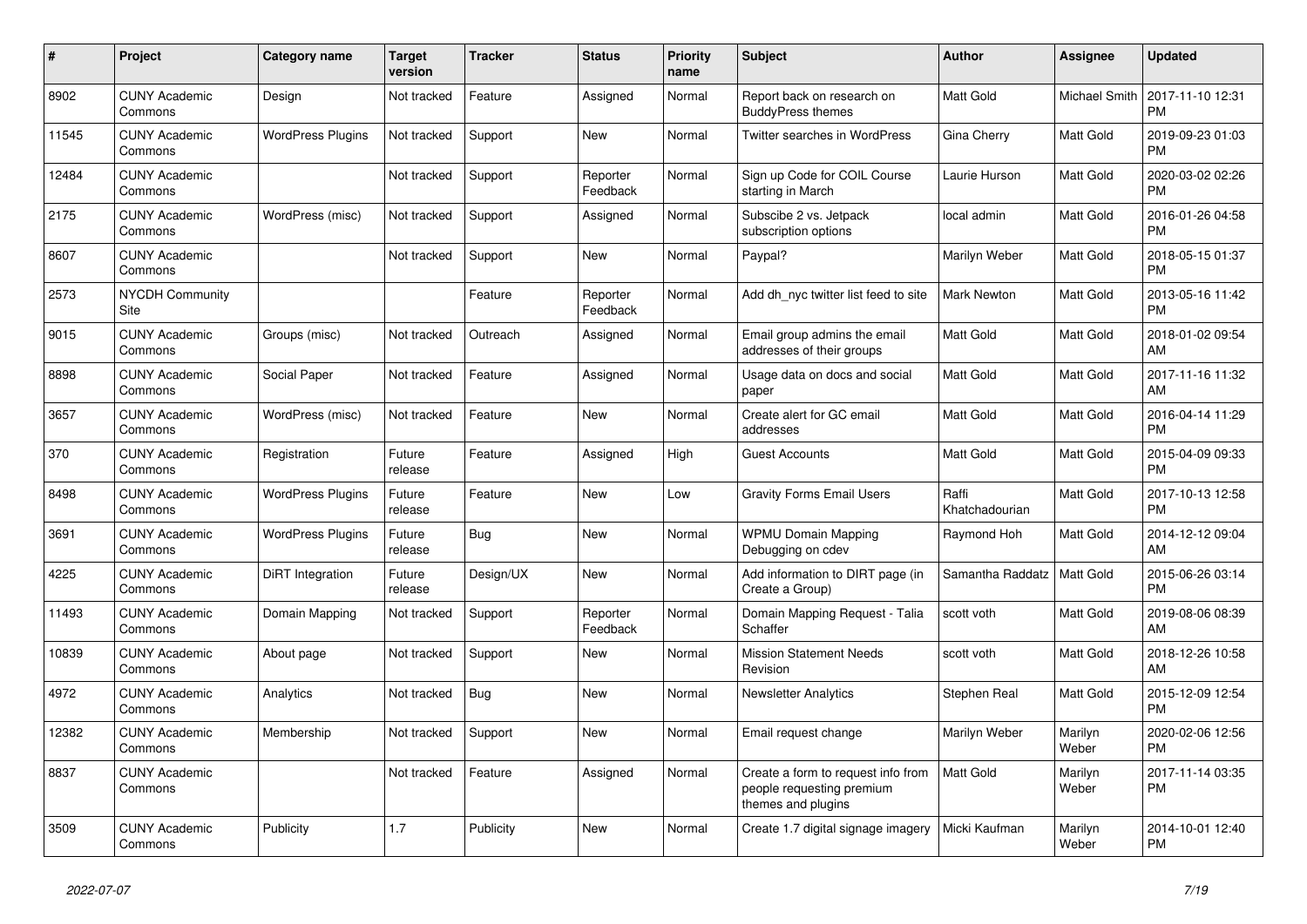| #     | <b>Project</b>                  | <b>Category name</b>     | <b>Target</b><br>version | <b>Tracker</b> | <b>Status</b>        | <b>Priority</b><br>name | <b>Subject</b>                                                                        | <b>Author</b>           | <b>Assignee</b>  | <b>Updated</b>                |
|-------|---------------------------------|--------------------------|--------------------------|----------------|----------------------|-------------------------|---------------------------------------------------------------------------------------|-------------------------|------------------|-------------------------------|
| 8902  | <b>CUNY Academic</b><br>Commons | Design                   | Not tracked              | Feature        | Assigned             | Normal                  | Report back on research on<br><b>BuddyPress themes</b>                                | <b>Matt Gold</b>        | Michael Smith    | 2017-11-10 12:31<br><b>PM</b> |
| 11545 | <b>CUNY Academic</b><br>Commons | <b>WordPress Plugins</b> | Not tracked              | Support        | New                  | Normal                  | Twitter searches in WordPress                                                         | Gina Cherry             | Matt Gold        | 2019-09-23 01:03<br><b>PM</b> |
| 12484 | <b>CUNY Academic</b><br>Commons |                          | Not tracked              | Support        | Reporter<br>Feedback | Normal                  | Sign up Code for COIL Course<br>starting in March                                     | Laurie Hurson           | Matt Gold        | 2020-03-02 02:26<br><b>PM</b> |
| 2175  | <b>CUNY Academic</b><br>Commons | WordPress (misc)         | Not tracked              | Support        | Assigned             | Normal                  | Subscibe 2 vs. Jetpack<br>subscription options                                        | local admin             | <b>Matt Gold</b> | 2016-01-26 04:58<br><b>PM</b> |
| 8607  | <b>CUNY Academic</b><br>Commons |                          | Not tracked              | Support        | New                  | Normal                  | Paypal?                                                                               | Marilyn Weber           | Matt Gold        | 2018-05-15 01:37<br><b>PM</b> |
| 2573  | <b>NYCDH Community</b><br>Site  |                          |                          | Feature        | Reporter<br>Feedback | Normal                  | Add dh_nyc twitter list feed to site                                                  | Mark Newton             | Matt Gold        | 2013-05-16 11:42<br><b>PM</b> |
| 9015  | <b>CUNY Academic</b><br>Commons | Groups (misc)            | Not tracked              | Outreach       | Assigned             | Normal                  | Email group admins the email<br>addresses of their groups                             | <b>Matt Gold</b>        | <b>Matt Gold</b> | 2018-01-02 09:54<br>AM        |
| 8898  | <b>CUNY Academic</b><br>Commons | Social Paper             | Not tracked              | Feature        | Assigned             | Normal                  | Usage data on docs and social<br>paper                                                | <b>Matt Gold</b>        | Matt Gold        | 2017-11-16 11:32<br>AM        |
| 3657  | <b>CUNY Academic</b><br>Commons | WordPress (misc)         | Not tracked              | Feature        | New                  | Normal                  | Create alert for GC email<br>addresses                                                | <b>Matt Gold</b>        | Matt Gold        | 2016-04-14 11:29<br><b>PM</b> |
| 370   | <b>CUNY Academic</b><br>Commons | Registration             | Future<br>release        | Feature        | Assigned             | High                    | <b>Guest Accounts</b>                                                                 | <b>Matt Gold</b>        | <b>Matt Gold</b> | 2015-04-09 09:33<br><b>PM</b> |
| 8498  | <b>CUNY Academic</b><br>Commons | <b>WordPress Plugins</b> | Future<br>release        | Feature        | New                  | Low                     | <b>Gravity Forms Email Users</b>                                                      | Raffi<br>Khatchadourian | <b>Matt Gold</b> | 2017-10-13 12:58<br><b>PM</b> |
| 3691  | <b>CUNY Academic</b><br>Commons | <b>WordPress Plugins</b> | Future<br>release        | Bug            | New                  | Normal                  | <b>WPMU Domain Mapping</b><br>Debugging on cdev                                       | Raymond Hoh             | Matt Gold        | 2014-12-12 09:04<br>AM        |
| 4225  | <b>CUNY Academic</b><br>Commons | DiRT Integration         | Future<br>release        | Design/UX      | <b>New</b>           | Normal                  | Add information to DIRT page (in<br>Create a Group)                                   | Samantha Raddatz        | <b>Matt Gold</b> | 2015-06-26 03:14<br><b>PM</b> |
| 11493 | <b>CUNY Academic</b><br>Commons | Domain Mapping           | Not tracked              | Support        | Reporter<br>Feedback | Normal                  | Domain Mapping Request - Talia<br>Schaffer                                            | scott voth              | Matt Gold        | 2019-08-06 08:39<br>AM        |
| 10839 | <b>CUNY Academic</b><br>Commons | About page               | Not tracked              | Support        | New                  | Normal                  | <b>Mission Statement Needs</b><br>Revision                                            | scott voth              | Matt Gold        | 2018-12-26 10:58<br>AM        |
| 4972  | <b>CUNY Academic</b><br>Commons | Analytics                | Not tracked              | Bug            | <b>New</b>           | Normal                  | <b>Newsletter Analytics</b>                                                           | Stephen Real            | Matt Gold        | 2015-12-09 12:54<br><b>PM</b> |
| 12382 | <b>CUNY Academic</b><br>Commons | Membership               | Not tracked              | Support        | New                  | Normal                  | Email request change                                                                  | Marilyn Weber           | Marilyn<br>Weber | 2020-02-06 12:56<br><b>PM</b> |
| 8837  | <b>CUNY Academic</b><br>Commons |                          | Not tracked              | Feature        | Assigned             | Normal                  | Create a form to request info from<br>people requesting premium<br>themes and plugins | Matt Gold               | Marilyn<br>Weber | 2017-11-14 03:35<br><b>PM</b> |
| 3509  | <b>CUNY Academic</b><br>Commons | Publicity                | 1.7                      | Publicity      | <b>New</b>           | Normal                  | Create 1.7 digital signage imagery                                                    | Micki Kaufman           | Marilyn<br>Weber | 2014-10-01 12:40<br><b>PM</b> |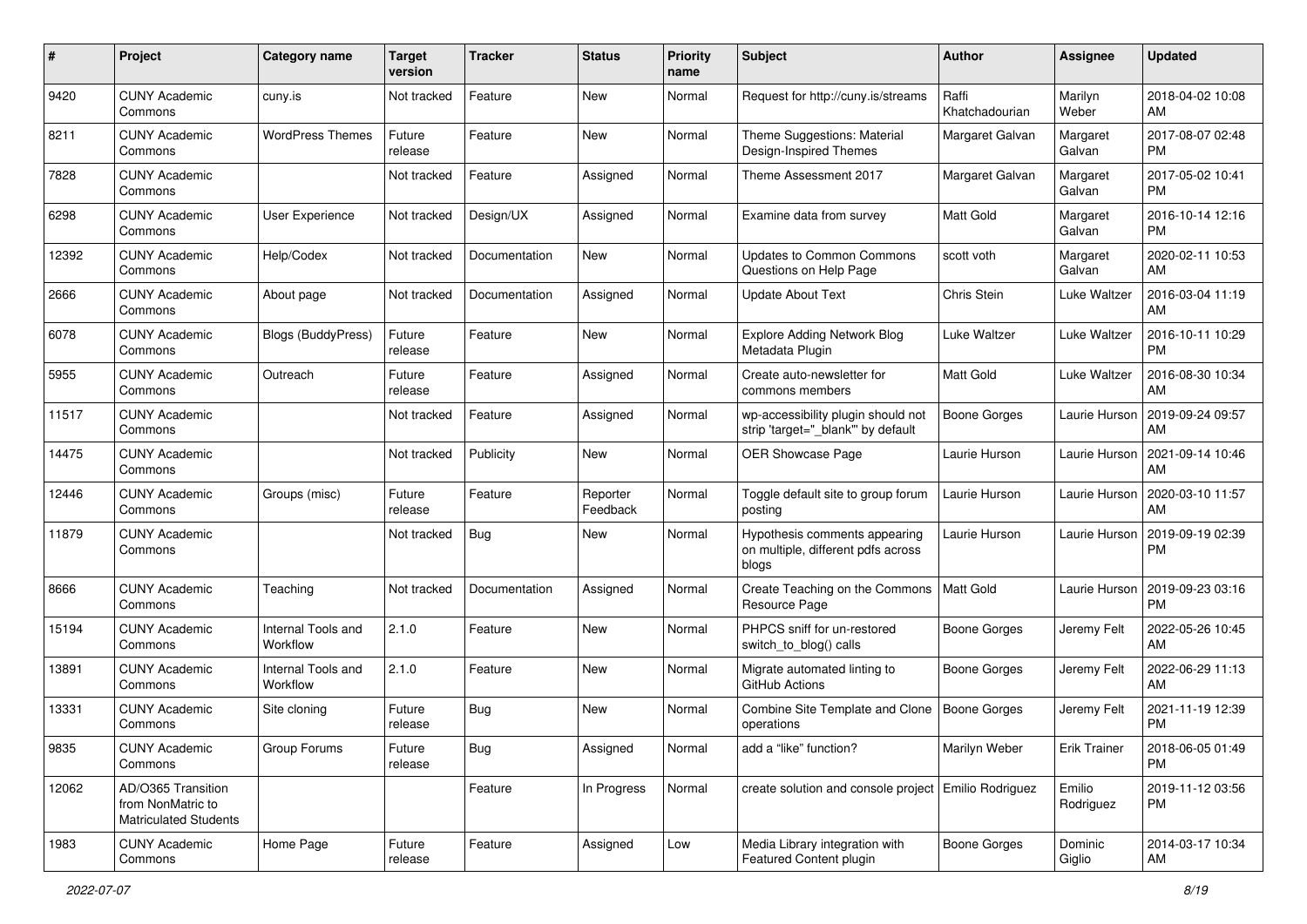| #     | Project                                                                 | <b>Category name</b>           | <b>Target</b><br>version | <b>Tracker</b> | <b>Status</b>        | <b>Priority</b><br>name | <b>Subject</b>                                                               | Author                  | <b>Assignee</b>     | <b>Updated</b>                |
|-------|-------------------------------------------------------------------------|--------------------------------|--------------------------|----------------|----------------------|-------------------------|------------------------------------------------------------------------------|-------------------------|---------------------|-------------------------------|
| 9420  | <b>CUNY Academic</b><br>Commons                                         | cuny.is                        | Not tracked              | Feature        | New                  | Normal                  | Request for http://cuny.is/streams                                           | Raffi<br>Khatchadourian | Marilyn<br>Weber    | 2018-04-02 10:08<br>AM        |
| 8211  | <b>CUNY Academic</b><br>Commons                                         | <b>WordPress Themes</b>        | Future<br>release        | Feature        | New                  | Normal                  | Theme Suggestions: Material<br>Design-Inspired Themes                        | Margaret Galvan         | Margaret<br>Galvan  | 2017-08-07 02:48<br><b>PM</b> |
| 7828  | <b>CUNY Academic</b><br>Commons                                         |                                | Not tracked              | Feature        | Assigned             | Normal                  | Theme Assessment 2017                                                        | Margaret Galvan         | Margaret<br>Galvan  | 2017-05-02 10:41<br><b>PM</b> |
| 6298  | <b>CUNY Academic</b><br>Commons                                         | User Experience                | Not tracked              | Design/UX      | Assigned             | Normal                  | Examine data from survey                                                     | <b>Matt Gold</b>        | Margaret<br>Galvan  | 2016-10-14 12:16<br><b>PM</b> |
| 12392 | <b>CUNY Academic</b><br>Commons                                         | Help/Codex                     | Not tracked              | Documentation  | New                  | Normal                  | <b>Updates to Common Commons</b><br>Questions on Help Page                   | scott voth              | Margaret<br>Galvan  | 2020-02-11 10:53<br>AM        |
| 2666  | <b>CUNY Academic</b><br>Commons                                         | About page                     | Not tracked              | Documentation  | Assigned             | Normal                  | <b>Update About Text</b>                                                     | Chris Stein             | Luke Waltzer        | 2016-03-04 11:19<br>AM        |
| 6078  | <b>CUNY Academic</b><br>Commons                                         | <b>Blogs (BuddyPress)</b>      | Future<br>release        | Feature        | New                  | Normal                  | <b>Explore Adding Network Blog</b><br>Metadata Plugin                        | Luke Waltzer            | Luke Waltzer        | 2016-10-11 10:29<br><b>PM</b> |
| 5955  | <b>CUNY Academic</b><br>Commons                                         | Outreach                       | Future<br>release        | Feature        | Assigned             | Normal                  | Create auto-newsletter for<br>commons members                                | <b>Matt Gold</b>        | Luke Waltzer        | 2016-08-30 10:34<br>AM        |
| 11517 | <b>CUNY Academic</b><br>Commons                                         |                                | Not tracked              | Feature        | Assigned             | Normal                  | wp-accessibility plugin should not<br>strip 'target="_blank" by default      | <b>Boone Gorges</b>     | Laurie Hurson       | 2019-09-24 09:57<br>AM        |
| 14475 | <b>CUNY Academic</b><br>Commons                                         |                                | Not tracked              | Publicity      | New                  | Normal                  | OER Showcase Page                                                            | Laurie Hurson           | Laurie Hurson       | 2021-09-14 10:46<br>AM        |
| 12446 | <b>CUNY Academic</b><br>Commons                                         | Groups (misc)                  | Future<br>release        | Feature        | Reporter<br>Feedback | Normal                  | Toggle default site to group forum<br>posting                                | Laurie Hurson           | Laurie Hurson       | 2020-03-10 11:57<br>AM        |
| 11879 | <b>CUNY Academic</b><br>Commons                                         |                                | Not tracked              | <b>Bug</b>     | New                  | Normal                  | Hypothesis comments appearing<br>on multiple, different pdfs across<br>blogs | Laurie Hurson           | Laurie Hurson       | 2019-09-19 02:39<br><b>PM</b> |
| 8666  | <b>CUNY Academic</b><br>Commons                                         | Teaching                       | Not tracked              | Documentation  | Assigned             | Normal                  | Create Teaching on the Commons<br>Resource Page                              | Matt Gold               | Laurie Hurson       | 2019-09-23 03:16<br><b>PM</b> |
| 15194 | <b>CUNY Academic</b><br>Commons                                         | Internal Tools and<br>Workflow | 2.1.0                    | Feature        | New                  | Normal                  | PHPCS sniff for un-restored<br>switch_to_blog() calls                        | <b>Boone Gorges</b>     | Jeremy Felt         | 2022-05-26 10:45<br>AM        |
| 13891 | <b>CUNY Academic</b><br>Commons                                         | Internal Tools and<br>Workflow | 2.1.0                    | Feature        | New                  | Normal                  | Migrate automated linting to<br>GitHub Actions                               | <b>Boone Gorges</b>     | Jeremy Felt         | 2022-06-29 11:13<br>AM        |
| 13331 | <b>CUNY Academic</b><br>Commons                                         | Site cloning                   | Future<br>release        | Bug            | New                  | Normal                  | Combine Site Template and Clone<br>operations                                | Boone Gorges            | Jeremy Felt         | 2021-11-19 12:39<br><b>PM</b> |
| 9835  | <b>CUNY Academic</b><br>Commons                                         | Group Forums                   | Future<br>release        | <b>Bug</b>     | Assigned             | Normal                  | add a "like" function?                                                       | Marilyn Weber           | <b>Erik Trainer</b> | 2018-06-05 01:49<br>PM        |
| 12062 | AD/O365 Transition<br>from NonMatric to<br><b>Matriculated Students</b> |                                |                          | Feature        | In Progress          | Normal                  | create solution and console project   Emilio Rodriguez                       |                         | Emilio<br>Rodriguez | 2019-11-12 03:56<br><b>PM</b> |
| 1983  | <b>CUNY Academic</b><br>Commons                                         | Home Page                      | Future<br>release        | Feature        | Assigned             | Low                     | Media Library integration with<br>Featured Content plugin                    | <b>Boone Gorges</b>     | Dominic<br>Giglio   | 2014-03-17 10:34<br>AM        |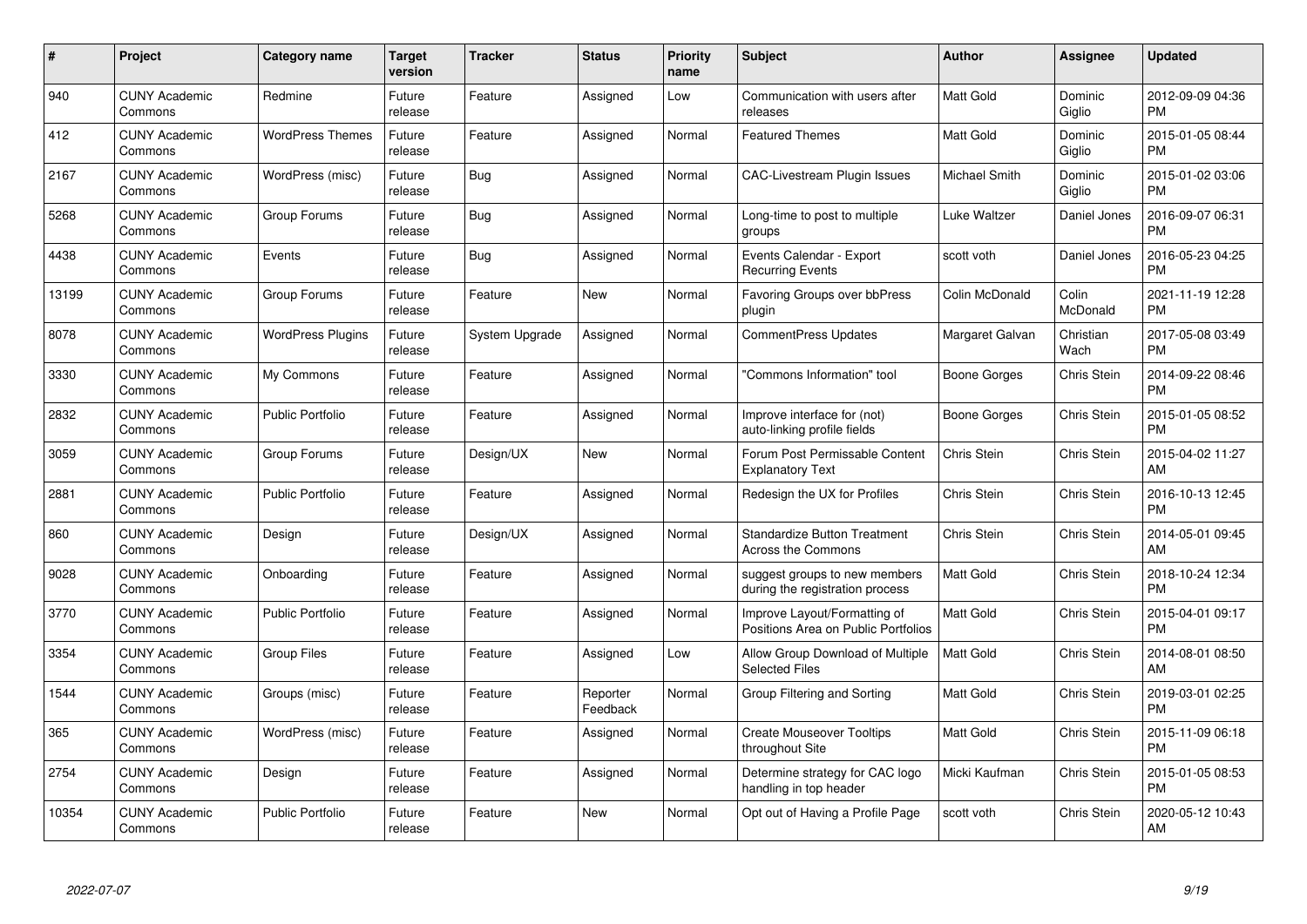| $\#$  | Project                         | Category name            | <b>Target</b><br>version | <b>Tracker</b> | <b>Status</b>        | <b>Priority</b><br>name | <b>Subject</b>                                                      | <b>Author</b>    | <b>Assignee</b>    | <b>Updated</b>                |
|-------|---------------------------------|--------------------------|--------------------------|----------------|----------------------|-------------------------|---------------------------------------------------------------------|------------------|--------------------|-------------------------------|
| 940   | <b>CUNY Academic</b><br>Commons | Redmine                  | Future<br>release        | Feature        | Assigned             | Low                     | Communication with users after<br>releases                          | <b>Matt Gold</b> | Dominic<br>Giglio  | 2012-09-09 04:36<br><b>PM</b> |
| 412   | <b>CUNY Academic</b><br>Commons | <b>WordPress Themes</b>  | Future<br>release        | Feature        | Assigned             | Normal                  | <b>Featured Themes</b>                                              | <b>Matt Gold</b> | Dominic<br>Giglio  | 2015-01-05 08:44<br><b>PM</b> |
| 2167  | <b>CUNY Academic</b><br>Commons | WordPress (misc)         | Future<br>release        | <b>Bug</b>     | Assigned             | Normal                  | <b>CAC-Livestream Plugin Issues</b>                                 | Michael Smith    | Dominic<br>Giglio  | 2015-01-02 03:06<br><b>PM</b> |
| 5268  | <b>CUNY Academic</b><br>Commons | Group Forums             | Future<br>release        | <b>Bug</b>     | Assigned             | Normal                  | Long-time to post to multiple<br>groups                             | Luke Waltzer     | Daniel Jones       | 2016-09-07 06:31<br><b>PM</b> |
| 4438  | <b>CUNY Academic</b><br>Commons | Events                   | Future<br>release        | Bug            | Assigned             | Normal                  | Events Calendar - Export<br><b>Recurring Events</b>                 | scott voth       | Daniel Jones       | 2016-05-23 04:25<br><b>PM</b> |
| 13199 | <b>CUNY Academic</b><br>Commons | Group Forums             | Future<br>release        | Feature        | New                  | Normal                  | <b>Favoring Groups over bbPress</b><br>plugin                       | Colin McDonald   | Colin<br>McDonald  | 2021-11-19 12:28<br><b>PM</b> |
| 8078  | <b>CUNY Academic</b><br>Commons | <b>WordPress Plugins</b> | Future<br>release        | System Upgrade | Assigned             | Normal                  | <b>CommentPress Updates</b>                                         | Margaret Galvan  | Christian<br>Wach  | 2017-05-08 03:49<br><b>PM</b> |
| 3330  | <b>CUNY Academic</b><br>Commons | My Commons               | Future<br>release        | Feature        | Assigned             | Normal                  | 'Commons Information" tool                                          | Boone Gorges     | Chris Stein        | 2014-09-22 08:46<br><b>PM</b> |
| 2832  | <b>CUNY Academic</b><br>Commons | <b>Public Portfolio</b>  | Future<br>release        | Feature        | Assigned             | Normal                  | Improve interface for (not)<br>auto-linking profile fields          | Boone Gorges     | Chris Stein        | 2015-01-05 08:52<br><b>PM</b> |
| 3059  | <b>CUNY Academic</b><br>Commons | Group Forums             | Future<br>release        | Design/UX      | <b>New</b>           | Normal                  | Forum Post Permissable Content<br><b>Explanatory Text</b>           | Chris Stein      | Chris Stein        | 2015-04-02 11:27<br>AM        |
| 2881  | <b>CUNY Academic</b><br>Commons | <b>Public Portfolio</b>  | Future<br>release        | Feature        | Assigned             | Normal                  | Redesign the UX for Profiles                                        | Chris Stein      | Chris Stein        | 2016-10-13 12:45<br><b>PM</b> |
| 860   | <b>CUNY Academic</b><br>Commons | Design                   | Future<br>release        | Design/UX      | Assigned             | Normal                  | <b>Standardize Button Treatment</b><br>Across the Commons           | Chris Stein      | Chris Stein        | 2014-05-01 09:45<br>AM        |
| 9028  | <b>CUNY Academic</b><br>Commons | Onboarding               | Future<br>release        | Feature        | Assigned             | Normal                  | suggest groups to new members<br>during the registration process    | <b>Matt Gold</b> | Chris Stein        | 2018-10-24 12:34<br><b>PM</b> |
| 3770  | <b>CUNY Academic</b><br>Commons | <b>Public Portfolio</b>  | Future<br>release        | Feature        | Assigned             | Normal                  | Improve Layout/Formatting of<br>Positions Area on Public Portfolios | <b>Matt Gold</b> | <b>Chris Stein</b> | 2015-04-01 09:17<br><b>PM</b> |
| 3354  | <b>CUNY Academic</b><br>Commons | <b>Group Files</b>       | Future<br>release        | Feature        | Assigned             | Low                     | Allow Group Download of Multiple<br><b>Selected Files</b>           | Matt Gold        | Chris Stein        | 2014-08-01 08:50<br>AM        |
| 1544  | <b>CUNY Academic</b><br>Commons | Groups (misc)            | Future<br>release        | Feature        | Reporter<br>Feedback | Normal                  | Group Filtering and Sorting                                         | <b>Matt Gold</b> | Chris Stein        | 2019-03-01 02:25<br><b>PM</b> |
| 365   | <b>CUNY Academic</b><br>Commons | WordPress (misc)         | Future<br>release        | Feature        | Assigned             | Normal                  | <b>Create Mouseover Tooltips</b><br>throughout Site                 | <b>Matt Gold</b> | Chris Stein        | 2015-11-09 06:18<br><b>PM</b> |
| 2754  | <b>CUNY Academic</b><br>Commons | Design                   | Future<br>release        | Feature        | Assigned             | Normal                  | Determine strategy for CAC logo<br>handling in top header           | Micki Kaufman    | Chris Stein        | 2015-01-05 08:53<br><b>PM</b> |
| 10354 | <b>CUNY Academic</b><br>Commons | <b>Public Portfolio</b>  | Future<br>release        | Feature        | <b>New</b>           | Normal                  | Opt out of Having a Profile Page                                    | scott voth       | Chris Stein        | 2020-05-12 10:43<br>AM        |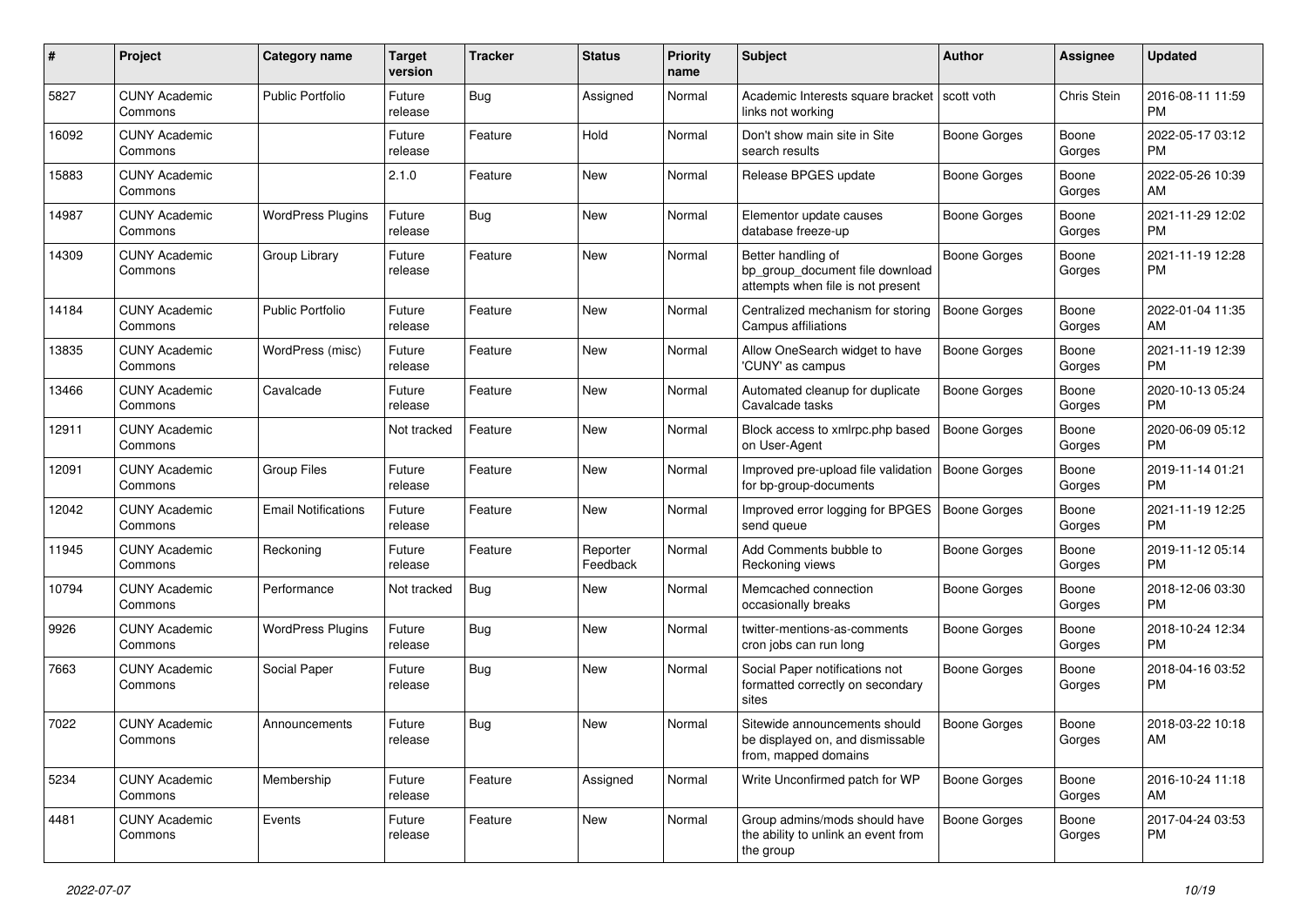| #     | Project                         | <b>Category name</b>       | <b>Target</b><br>version | <b>Tracker</b> | <b>Status</b>        | <b>Priority</b><br>name | <b>Subject</b>                                                                             | Author              | <b>Assignee</b> | <b>Updated</b>                |
|-------|---------------------------------|----------------------------|--------------------------|----------------|----------------------|-------------------------|--------------------------------------------------------------------------------------------|---------------------|-----------------|-------------------------------|
| 5827  | <b>CUNY Academic</b><br>Commons | Public Portfolio           | Future<br>release        | <b>Bug</b>     | Assigned             | Normal                  | Academic Interests square bracket   scott voth<br>links not working                        |                     | Chris Stein     | 2016-08-11 11:59<br><b>PM</b> |
| 16092 | <b>CUNY Academic</b><br>Commons |                            | Future<br>release        | Feature        | Hold                 | Normal                  | Don't show main site in Site<br>search results                                             | Boone Gorges        | Boone<br>Gorges | 2022-05-17 03:12<br><b>PM</b> |
| 15883 | <b>CUNY Academic</b><br>Commons |                            | 2.1.0                    | Feature        | New                  | Normal                  | Release BPGES update                                                                       | Boone Gorges        | Boone<br>Gorges | 2022-05-26 10:39<br>AM        |
| 14987 | <b>CUNY Academic</b><br>Commons | <b>WordPress Plugins</b>   | Future<br>release        | <b>Bug</b>     | <b>New</b>           | Normal                  | Elementor update causes<br>database freeze-up                                              | <b>Boone Gorges</b> | Boone<br>Gorges | 2021-11-29 12:02<br><b>PM</b> |
| 14309 | <b>CUNY Academic</b><br>Commons | Group Library              | Future<br>release        | Feature        | <b>New</b>           | Normal                  | Better handling of<br>bp group document file download<br>attempts when file is not present | <b>Boone Gorges</b> | Boone<br>Gorges | 2021-11-19 12:28<br><b>PM</b> |
| 14184 | <b>CUNY Academic</b><br>Commons | <b>Public Portfolio</b>    | Future<br>release        | Feature        | <b>New</b>           | Normal                  | Centralized mechanism for storing<br>Campus affiliations                                   | <b>Boone Gorges</b> | Boone<br>Gorges | 2022-01-04 11:35<br>AM        |
| 13835 | <b>CUNY Academic</b><br>Commons | WordPress (misc)           | Future<br>release        | Feature        | New                  | Normal                  | Allow OneSearch widget to have<br>'CUNY' as campus                                         | <b>Boone Gorges</b> | Boone<br>Gorges | 2021-11-19 12:39<br><b>PM</b> |
| 13466 | <b>CUNY Academic</b><br>Commons | Cavalcade                  | Future<br>release        | Feature        | New                  | Normal                  | Automated cleanup for duplicate<br>Cavalcade tasks                                         | Boone Gorges        | Boone<br>Gorges | 2020-10-13 05:24<br><b>PM</b> |
| 12911 | <b>CUNY Academic</b><br>Commons |                            | Not tracked              | Feature        | <b>New</b>           | Normal                  | Block access to xmlrpc.php based<br>on User-Agent                                          | <b>Boone Gorges</b> | Boone<br>Gorges | 2020-06-09 05:12<br>PM        |
| 12091 | <b>CUNY Academic</b><br>Commons | <b>Group Files</b>         | Future<br>release        | Feature        | New                  | Normal                  | Improved pre-upload file validation<br>for bp-group-documents                              | Boone Gorges        | Boone<br>Gorges | 2019-11-14 01:21<br><b>PM</b> |
| 12042 | <b>CUNY Academic</b><br>Commons | <b>Email Notifications</b> | Future<br>release        | Feature        | <b>New</b>           | Normal                  | Improved error logging for BPGES<br>send queue                                             | <b>Boone Gorges</b> | Boone<br>Gorges | 2021-11-19 12:25<br><b>PM</b> |
| 11945 | <b>CUNY Academic</b><br>Commons | Reckoning                  | Future<br>release        | Feature        | Reporter<br>Feedback | Normal                  | Add Comments bubble to<br>Reckoning views                                                  | Boone Gorges        | Boone<br>Gorges | 2019-11-12 05:14<br><b>PM</b> |
| 10794 | <b>CUNY Academic</b><br>Commons | Performance                | Not tracked              | Bug            | New                  | Normal                  | Memcached connection<br>occasionally breaks                                                | <b>Boone Gorges</b> | Boone<br>Gorges | 2018-12-06 03:30<br><b>PM</b> |
| 9926  | <b>CUNY Academic</b><br>Commons | <b>WordPress Plugins</b>   | Future<br>release        | <b>Bug</b>     | New                  | Normal                  | twitter-mentions-as-comments<br>cron jobs can run long                                     | Boone Gorges        | Boone<br>Gorges | 2018-10-24 12:34<br><b>PM</b> |
| 7663  | <b>CUNY Academic</b><br>Commons | Social Paper               | Future<br>release        | <b>Bug</b>     | New                  | Normal                  | Social Paper notifications not<br>formatted correctly on secondary<br>sites                | <b>Boone Gorges</b> | Boone<br>Gorges | 2018-04-16 03:52<br><b>PM</b> |
| 7022  | <b>CUNY Academic</b><br>Commons | Announcements              | Future<br>release        | <b>Bug</b>     | New                  | Normal                  | Sitewide announcements should<br>be displayed on, and dismissable<br>from, mapped domains  | <b>Boone Gorges</b> | Boone<br>Gorges | 2018-03-22 10:18<br>AM        |
| 5234  | <b>CUNY Academic</b><br>Commons | Membership                 | Future<br>release        | Feature        | Assigned             | Normal                  | Write Unconfirmed patch for WP                                                             | <b>Boone Gorges</b> | Boone<br>Gorges | 2016-10-24 11:18<br>AM        |
| 4481  | <b>CUNY Academic</b><br>Commons | Events                     | Future<br>release        | Feature        | New                  | Normal                  | Group admins/mods should have<br>the ability to unlink an event from<br>the group          | Boone Gorges        | Boone<br>Gorges | 2017-04-24 03:53<br>PM        |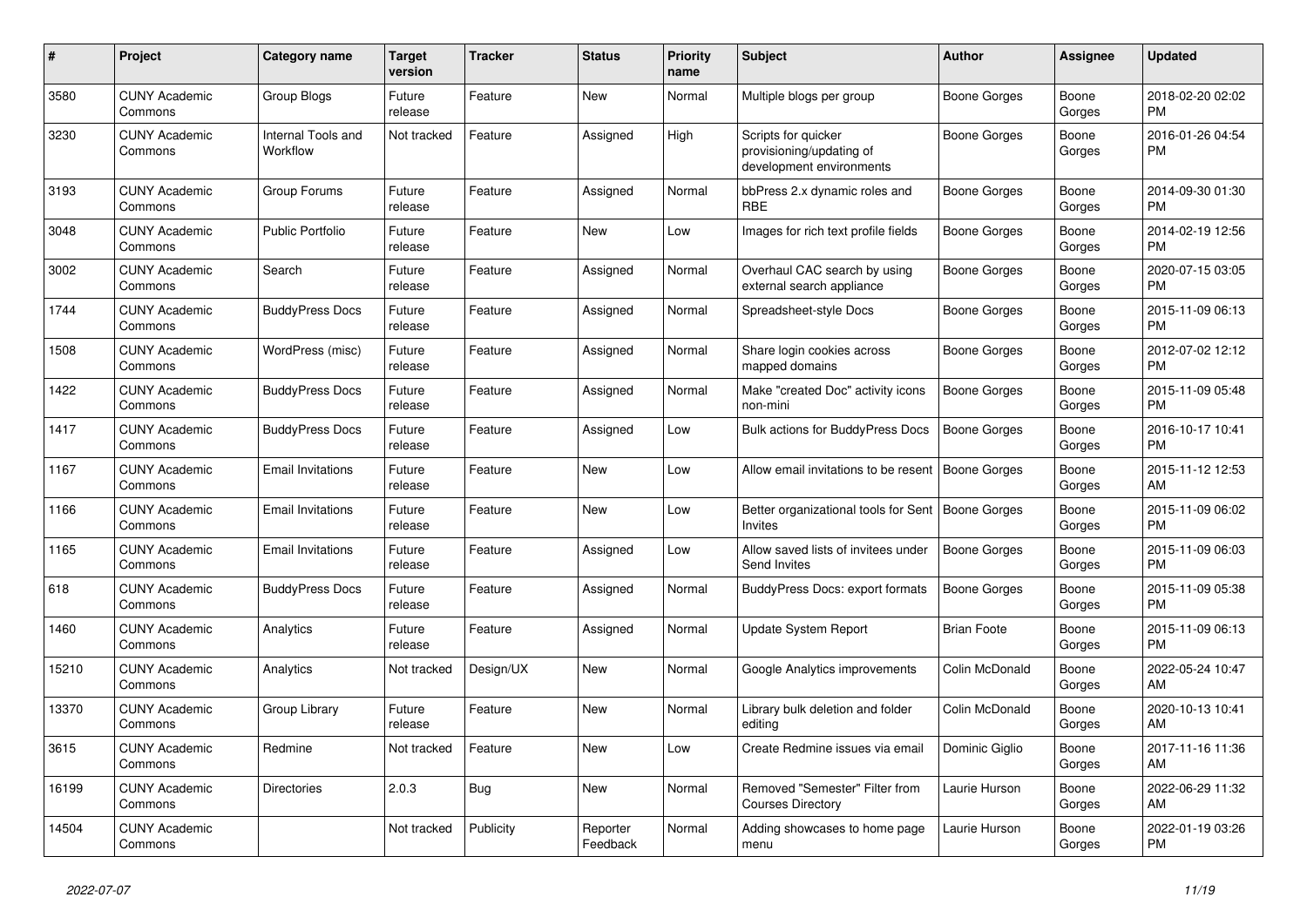| #     | <b>Project</b>                  | <b>Category name</b>           | <b>Target</b><br>version | <b>Tracker</b> | <b>Status</b>        | <b>Priority</b><br>name | <b>Subject</b>                                                              | <b>Author</b>       | Assignee        | <b>Updated</b>                |
|-------|---------------------------------|--------------------------------|--------------------------|----------------|----------------------|-------------------------|-----------------------------------------------------------------------------|---------------------|-----------------|-------------------------------|
| 3580  | <b>CUNY Academic</b><br>Commons | Group Blogs                    | Future<br>release        | Feature        | New                  | Normal                  | Multiple blogs per group                                                    | Boone Gorges        | Boone<br>Gorges | 2018-02-20 02:02<br><b>PM</b> |
| 3230  | <b>CUNY Academic</b><br>Commons | Internal Tools and<br>Workflow | Not tracked              | Feature        | Assigned             | High                    | Scripts for quicker<br>provisioning/updating of<br>development environments | Boone Gorges        | Boone<br>Gorges | 2016-01-26 04:54<br><b>PM</b> |
| 3193  | <b>CUNY Academic</b><br>Commons | Group Forums                   | Future<br>release        | Feature        | Assigned             | Normal                  | bbPress 2.x dynamic roles and<br><b>RBE</b>                                 | <b>Boone Gorges</b> | Boone<br>Gorges | 2014-09-30 01:30<br><b>PM</b> |
| 3048  | <b>CUNY Academic</b><br>Commons | <b>Public Portfolio</b>        | Future<br>release        | Feature        | New                  | Low                     | Images for rich text profile fields                                         | Boone Gorges        | Boone<br>Gorges | 2014-02-19 12:56<br><b>PM</b> |
| 3002  | <b>CUNY Academic</b><br>Commons | Search                         | Future<br>release        | Feature        | Assigned             | Normal                  | Overhaul CAC search by using<br>external search appliance                   | Boone Gorges        | Boone<br>Gorges | 2020-07-15 03:05<br><b>PM</b> |
| 1744  | <b>CUNY Academic</b><br>Commons | <b>BuddyPress Docs</b>         | Future<br>release        | Feature        | Assigned             | Normal                  | Spreadsheet-style Docs                                                      | Boone Gorges        | Boone<br>Gorges | 2015-11-09 06:13<br><b>PM</b> |
| 1508  | <b>CUNY Academic</b><br>Commons | WordPress (misc)               | Future<br>release        | Feature        | Assigned             | Normal                  | Share login cookies across<br>mapped domains                                | Boone Gorges        | Boone<br>Gorges | 2012-07-02 12:12<br><b>PM</b> |
| 1422  | <b>CUNY Academic</b><br>Commons | <b>BuddyPress Docs</b>         | Future<br>release        | Feature        | Assigned             | Normal                  | Make "created Doc" activity icons<br>non-mini                               | <b>Boone Gorges</b> | Boone<br>Gorges | 2015-11-09 05:48<br><b>PM</b> |
| 1417  | <b>CUNY Academic</b><br>Commons | <b>BuddyPress Docs</b>         | Future<br>release        | Feature        | Assigned             | Low                     | <b>Bulk actions for BuddyPress Docs</b>                                     | <b>Boone Gorges</b> | Boone<br>Gorges | 2016-10-17 10:41<br><b>PM</b> |
| 1167  | <b>CUNY Academic</b><br>Commons | <b>Email Invitations</b>       | Future<br>release        | Feature        | New                  | Low                     | Allow email invitations to be resent                                        | <b>Boone Gorges</b> | Boone<br>Gorges | 2015-11-12 12:53<br>AM        |
| 1166  | <b>CUNY Academic</b><br>Commons | <b>Email Invitations</b>       | Future<br>release        | Feature        | <b>New</b>           | Low                     | Better organizational tools for Sent   Boone Gorges<br>Invites              |                     | Boone<br>Gorges | 2015-11-09 06:02<br><b>PM</b> |
| 1165  | <b>CUNY Academic</b><br>Commons | <b>Email Invitations</b>       | Future<br>release        | Feature        | Assigned             | Low                     | Allow saved lists of invitees under<br>Send Invites                         | Boone Gorges        | Boone<br>Gorges | 2015-11-09 06:03<br>PM        |
| 618   | <b>CUNY Academic</b><br>Commons | <b>BuddyPress Docs</b>         | Future<br>release        | Feature        | Assigned             | Normal                  | <b>BuddyPress Docs: export formats</b>                                      | Boone Gorges        | Boone<br>Gorges | 2015-11-09 05:38<br><b>PM</b> |
| 1460  | <b>CUNY Academic</b><br>Commons | Analytics                      | Future<br>release        | Feature        | Assigned             | Normal                  | Update System Report                                                        | <b>Brian Foote</b>  | Boone<br>Gorges | 2015-11-09 06:13<br><b>PM</b> |
| 15210 | <b>CUNY Academic</b><br>Commons | Analytics                      | Not tracked              | Design/UX      | New                  | Normal                  | Google Analytics improvements                                               | Colin McDonald      | Boone<br>Gorges | 2022-05-24 10:47<br>AM        |
| 13370 | <b>CUNY Academic</b><br>Commons | Group Library                  | Future<br>release        | Feature        | New                  | Normal                  | Library bulk deletion and folder<br>editing                                 | Colin McDonald      | Boone<br>Gorges | 2020-10-13 10:41<br>AM        |
| 3615  | <b>CUNY Academic</b><br>Commons | Redmine                        | Not tracked              | Feature        | <b>New</b>           | Low                     | Create Redmine issues via email                                             | Dominic Giglio      | Boone<br>Gorges | 2017-11-16 11:36<br>AM        |
| 16199 | <b>CUNY Academic</b><br>Commons | <b>Directories</b>             | 2.0.3                    | Bug            | <b>New</b>           | Normal                  | Removed "Semester" Filter from<br><b>Courses Directory</b>                  | Laurie Hurson       | Boone<br>Gorges | 2022-06-29 11:32<br>AM        |
| 14504 | <b>CUNY Academic</b><br>Commons |                                | Not tracked              | Publicity      | Reporter<br>Feedback | Normal                  | Adding showcases to home page<br>menu                                       | Laurie Hurson       | Boone<br>Gorges | 2022-01-19 03:26<br>PM        |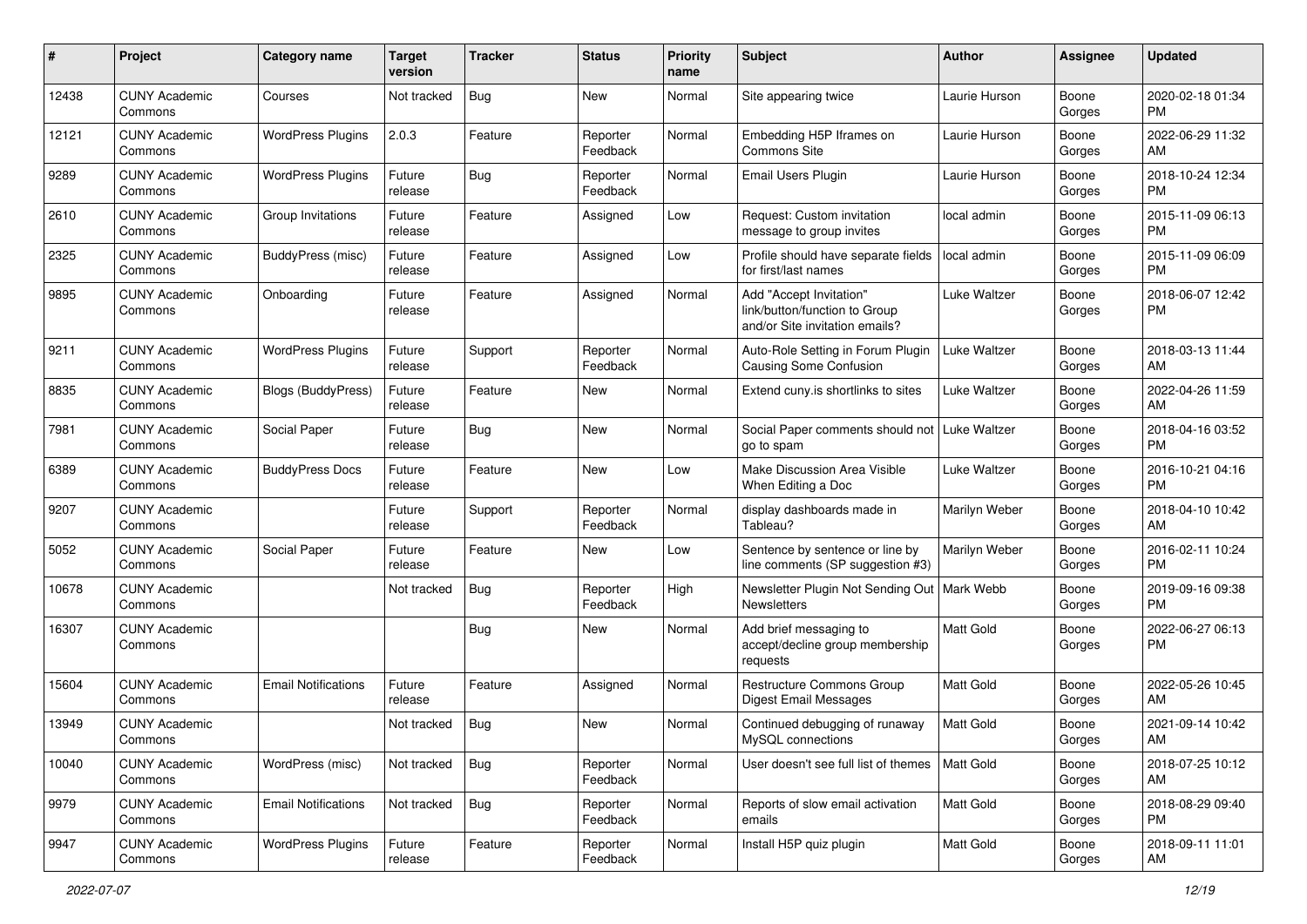| #     | Project                         | <b>Category name</b>       | <b>Target</b><br>version | <b>Tracker</b> | <b>Status</b>        | <b>Priority</b><br>name | Subject                                                                                    | Author              | Assignee        | <b>Updated</b>                |
|-------|---------------------------------|----------------------------|--------------------------|----------------|----------------------|-------------------------|--------------------------------------------------------------------------------------------|---------------------|-----------------|-------------------------------|
| 12438 | <b>CUNY Academic</b><br>Commons | Courses                    | Not tracked              | <b>Bug</b>     | New                  | Normal                  | Site appearing twice                                                                       | Laurie Hurson       | Boone<br>Gorges | 2020-02-18 01:34<br>PM        |
| 12121 | <b>CUNY Academic</b><br>Commons | <b>WordPress Plugins</b>   | 2.0.3                    | Feature        | Reporter<br>Feedback | Normal                  | Embedding H5P Iframes on<br>Commons Site                                                   | Laurie Hurson       | Boone<br>Gorges | 2022-06-29 11:32<br>AM        |
| 9289  | <b>CUNY Academic</b><br>Commons | <b>WordPress Plugins</b>   | Future<br>release        | <b>Bug</b>     | Reporter<br>Feedback | Normal                  | Email Users Plugin                                                                         | Laurie Hurson       | Boone<br>Gorges | 2018-10-24 12:34<br><b>PM</b> |
| 2610  | <b>CUNY Academic</b><br>Commons | Group Invitations          | Future<br>release        | Feature        | Assigned             | Low                     | Request: Custom invitation<br>message to group invites                                     | local admin         | Boone<br>Gorges | 2015-11-09 06:13<br>PM        |
| 2325  | <b>CUNY Academic</b><br>Commons | BuddyPress (misc)          | Future<br>release        | Feature        | Assigned             | Low                     | Profile should have separate fields<br>for first/last names                                | local admin         | Boone<br>Gorges | 2015-11-09 06:09<br>PM        |
| 9895  | <b>CUNY Academic</b><br>Commons | Onboarding                 | Future<br>release        | Feature        | Assigned             | Normal                  | Add "Accept Invitation"<br>link/button/function to Group<br>and/or Site invitation emails? | <b>Luke Waltzer</b> | Boone<br>Gorges | 2018-06-07 12:42<br>PM        |
| 9211  | <b>CUNY Academic</b><br>Commons | <b>WordPress Plugins</b>   | Future<br>release        | Support        | Reporter<br>Feedback | Normal                  | Auto-Role Setting in Forum Plugin<br>Causing Some Confusion                                | Luke Waltzer        | Boone<br>Gorges | 2018-03-13 11:44<br>AM        |
| 8835  | <b>CUNY Academic</b><br>Commons | <b>Blogs (BuddyPress)</b>  | Future<br>release        | Feature        | New                  | Normal                  | Extend cuny is shortlinks to sites                                                         | <b>Luke Waltzer</b> | Boone<br>Gorges | 2022-04-26 11:59<br>AM        |
| 7981  | <b>CUNY Academic</b><br>Commons | Social Paper               | Future<br>release        | Bug            | New                  | Normal                  | Social Paper comments should not<br>go to spam                                             | Luke Waltzer        | Boone<br>Gorges | 2018-04-16 03:52<br>PM        |
| 6389  | <b>CUNY Academic</b><br>Commons | <b>BuddyPress Docs</b>     | Future<br>release        | Feature        | New                  | Low                     | Make Discussion Area Visible<br>When Editing a Doc                                         | Luke Waltzer        | Boone<br>Gorges | 2016-10-21 04:16<br>PM        |
| 9207  | <b>CUNY Academic</b><br>Commons |                            | Future<br>release        | Support        | Reporter<br>Feedback | Normal                  | display dashboards made in<br>Tableau?                                                     | Marilyn Weber       | Boone<br>Gorges | 2018-04-10 10:42<br>AM        |
| 5052  | <b>CUNY Academic</b><br>Commons | Social Paper               | Future<br>release        | Feature        | New                  | Low                     | Sentence by sentence or line by<br>line comments (SP suggestion #3)                        | Marilyn Weber       | Boone<br>Gorges | 2016-02-11 10:24<br>PM        |
| 10678 | <b>CUNY Academic</b><br>Commons |                            | Not tracked              | <b>Bug</b>     | Reporter<br>Feedback | High                    | Newsletter Plugin Not Sending Out   Mark Webb<br><b>Newsletters</b>                        |                     | Boone<br>Gorges | 2019-09-16 09:38<br>PM        |
| 16307 | <b>CUNY Academic</b><br>Commons |                            |                          | <b>Bug</b>     | New                  | Normal                  | Add brief messaging to<br>accept/decline group membership<br>requests                      | Matt Gold           | Boone<br>Gorges | 2022-06-27 06:13<br>PM        |
| 15604 | <b>CUNY Academic</b><br>Commons | <b>Email Notifications</b> | Future<br>release        | Feature        | Assigned             | Normal                  | <b>Restructure Commons Group</b><br><b>Digest Email Messages</b>                           | <b>Matt Gold</b>    | Boone<br>Gorges | 2022-05-26 10:45<br>AM        |
| 13949 | <b>CUNY Academic</b><br>Commons |                            | Not tracked              | Bug            | New                  | Normal                  | Continued debugging of runaway<br>MySQL connections                                        | Matt Gold           | Boone<br>Gorges | 2021-09-14 10:42<br>AM        |
| 10040 | <b>CUNY Academic</b><br>Commons | WordPress (misc)           | Not tracked              | Bug            | Reporter<br>Feedback | Normal                  | User doesn't see full list of themes                                                       | Matt Gold           | Boone<br>Gorges | 2018-07-25 10:12<br>AM        |
| 9979  | <b>CUNY Academic</b><br>Commons | <b>Email Notifications</b> | Not tracked              | Bug            | Reporter<br>Feedback | Normal                  | Reports of slow email activation<br>emails                                                 | Matt Gold           | Boone<br>Gorges | 2018-08-29 09:40<br><b>PM</b> |
| 9947  | <b>CUNY Academic</b><br>Commons | <b>WordPress Plugins</b>   | Future<br>release        | Feature        | Reporter<br>Feedback | Normal                  | Install H5P quiz plugin                                                                    | Matt Gold           | Boone<br>Gorges | 2018-09-11 11:01<br>AM        |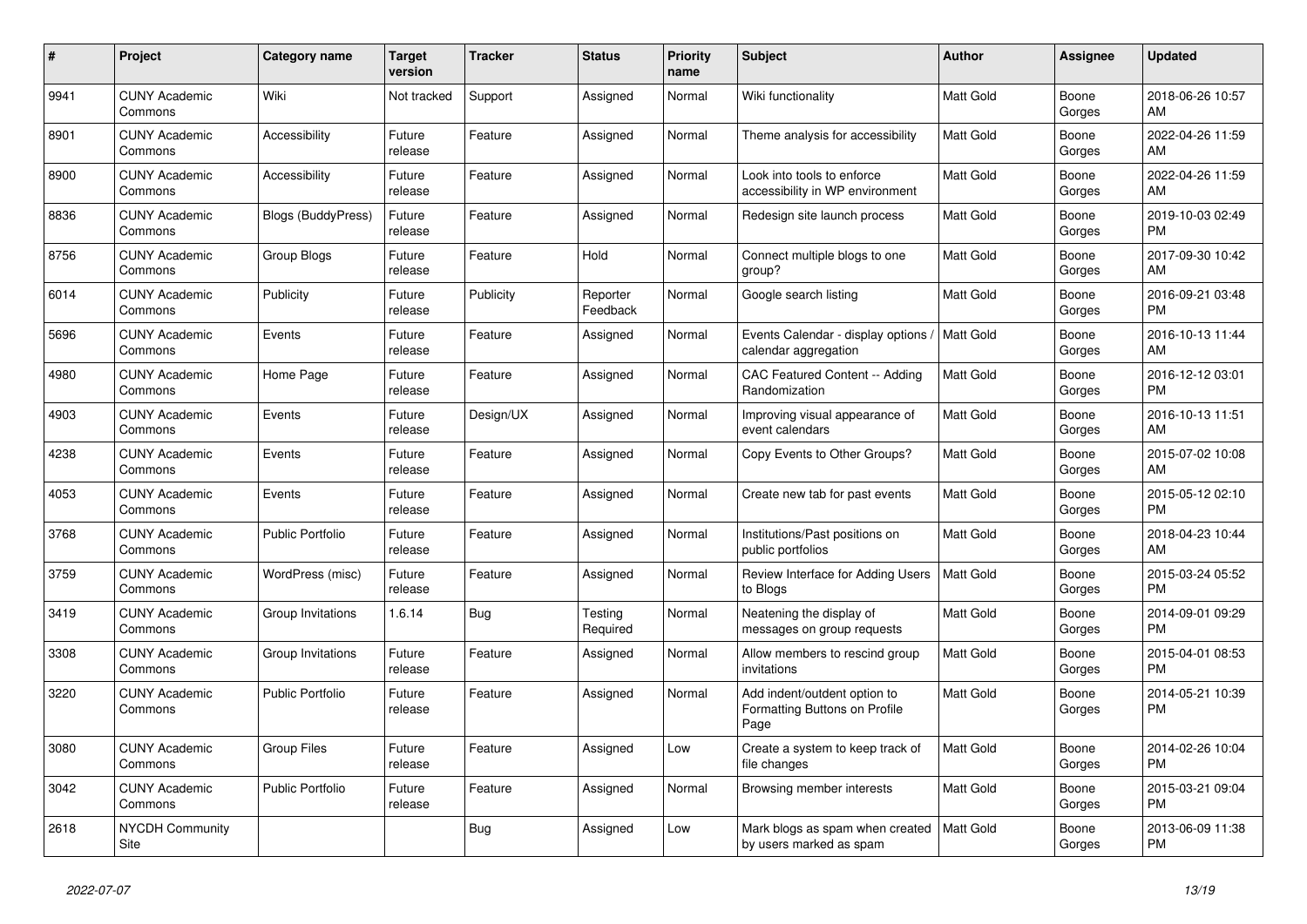| #    | <b>Project</b>                  | <b>Category name</b>      | <b>Target</b><br>version | <b>Tracker</b> | <b>Status</b>        | <b>Priority</b><br>name | <b>Subject</b>                                                        | <b>Author</b>    | Assignee        | <b>Updated</b>                |
|------|---------------------------------|---------------------------|--------------------------|----------------|----------------------|-------------------------|-----------------------------------------------------------------------|------------------|-----------------|-------------------------------|
| 9941 | <b>CUNY Academic</b><br>Commons | Wiki                      | Not tracked              | Support        | Assigned             | Normal                  | Wiki functionality                                                    | <b>Matt Gold</b> | Boone<br>Gorges | 2018-06-26 10:57<br>AM        |
| 8901 | <b>CUNY Academic</b><br>Commons | Accessibility             | Future<br>release        | Feature        | Assigned             | Normal                  | Theme analysis for accessibility                                      | <b>Matt Gold</b> | Boone<br>Gorges | 2022-04-26 11:59<br>AM        |
| 8900 | <b>CUNY Academic</b><br>Commons | Accessibility             | Future<br>release        | Feature        | Assigned             | Normal                  | Look into tools to enforce<br>accessibility in WP environment         | Matt Gold        | Boone<br>Gorges | 2022-04-26 11:59<br>AM        |
| 8836 | <b>CUNY Academic</b><br>Commons | <b>Blogs (BuddyPress)</b> | Future<br>release        | Feature        | Assigned             | Normal                  | Redesign site launch process                                          | <b>Matt Gold</b> | Boone<br>Gorges | 2019-10-03 02:49<br><b>PM</b> |
| 8756 | <b>CUNY Academic</b><br>Commons | Group Blogs               | Future<br>release        | Feature        | Hold                 | Normal                  | Connect multiple blogs to one<br>group?                               | Matt Gold        | Boone<br>Gorges | 2017-09-30 10:42<br>AM        |
| 6014 | <b>CUNY Academic</b><br>Commons | Publicity                 | Future<br>release        | Publicity      | Reporter<br>Feedback | Normal                  | Google search listing                                                 | Matt Gold        | Boone<br>Gorges | 2016-09-21 03:48<br><b>PM</b> |
| 5696 | <b>CUNY Academic</b><br>Commons | Events                    | Future<br>release        | Feature        | Assigned             | Normal                  | Events Calendar - display options<br>calendar aggregation             | Matt Gold        | Boone<br>Gorges | 2016-10-13 11:44<br>AM        |
| 4980 | <b>CUNY Academic</b><br>Commons | Home Page                 | Future<br>release        | Feature        | Assigned             | Normal                  | <b>CAC Featured Content -- Adding</b><br>Randomization                | <b>Matt Gold</b> | Boone<br>Gorges | 2016-12-12 03:01<br>PM        |
| 4903 | <b>CUNY Academic</b><br>Commons | Events                    | Future<br>release        | Design/UX      | Assigned             | Normal                  | Improving visual appearance of<br>event calendars                     | Matt Gold        | Boone<br>Gorges | 2016-10-13 11:51<br>AM        |
| 4238 | <b>CUNY Academic</b><br>Commons | Events                    | Future<br>release        | Feature        | Assigned             | Normal                  | Copy Events to Other Groups?                                          | <b>Matt Gold</b> | Boone<br>Gorges | 2015-07-02 10:08<br>AM        |
| 4053 | <b>CUNY Academic</b><br>Commons | Events                    | Future<br>release        | Feature        | Assigned             | Normal                  | Create new tab for past events                                        | Matt Gold        | Boone<br>Gorges | 2015-05-12 02:10<br><b>PM</b> |
| 3768 | <b>CUNY Academic</b><br>Commons | <b>Public Portfolio</b>   | Future<br>release        | Feature        | Assigned             | Normal                  | Institutions/Past positions on<br>public portfolios                   | Matt Gold        | Boone<br>Gorges | 2018-04-23 10:44<br>AM        |
| 3759 | <b>CUNY Academic</b><br>Commons | WordPress (misc)          | Future<br>release        | Feature        | Assigned             | Normal                  | Review Interface for Adding Users<br>to Blogs                         | <b>Matt Gold</b> | Boone<br>Gorges | 2015-03-24 05:52<br><b>PM</b> |
| 3419 | <b>CUNY Academic</b><br>Commons | Group Invitations         | 1.6.14                   | Bug            | Testing<br>Required  | Normal                  | Neatening the display of<br>messages on group requests                | Matt Gold        | Boone<br>Gorges | 2014-09-01 09:29<br><b>PM</b> |
| 3308 | <b>CUNY Academic</b><br>Commons | Group Invitations         | Future<br>release        | Feature        | Assigned             | Normal                  | Allow members to rescind group<br>invitations                         | <b>Matt Gold</b> | Boone<br>Gorges | 2015-04-01 08:53<br><b>PM</b> |
| 3220 | <b>CUNY Academic</b><br>Commons | <b>Public Portfolio</b>   | Future<br>release        | Feature        | Assigned             | Normal                  | Add indent/outdent option to<br>Formatting Buttons on Profile<br>Page | Matt Gold        | Boone<br>Gorges | 2014-05-21 10:39<br><b>PM</b> |
| 3080 | <b>CUNY Academic</b><br>Commons | <b>Group Files</b>        | Future<br>release        | Feature        | Assigned             | Low                     | Create a system to keep track of<br>file changes                      | Matt Gold        | Boone<br>Gorges | 2014-02-26 10:04<br><b>PM</b> |
| 3042 | <b>CUNY Academic</b><br>Commons | <b>Public Portfolio</b>   | Future<br>release        | Feature        | Assigned             | Normal                  | Browsing member interests                                             | Matt Gold        | Boone<br>Gorges | 2015-03-21 09:04<br><b>PM</b> |
| 2618 | <b>NYCDH Community</b><br>Site  |                           |                          | Bug            | Assigned             | Low                     | Mark blogs as spam when created<br>by users marked as spam            | <b>Matt Gold</b> | Boone<br>Gorges | 2013-06-09 11:38<br><b>PM</b> |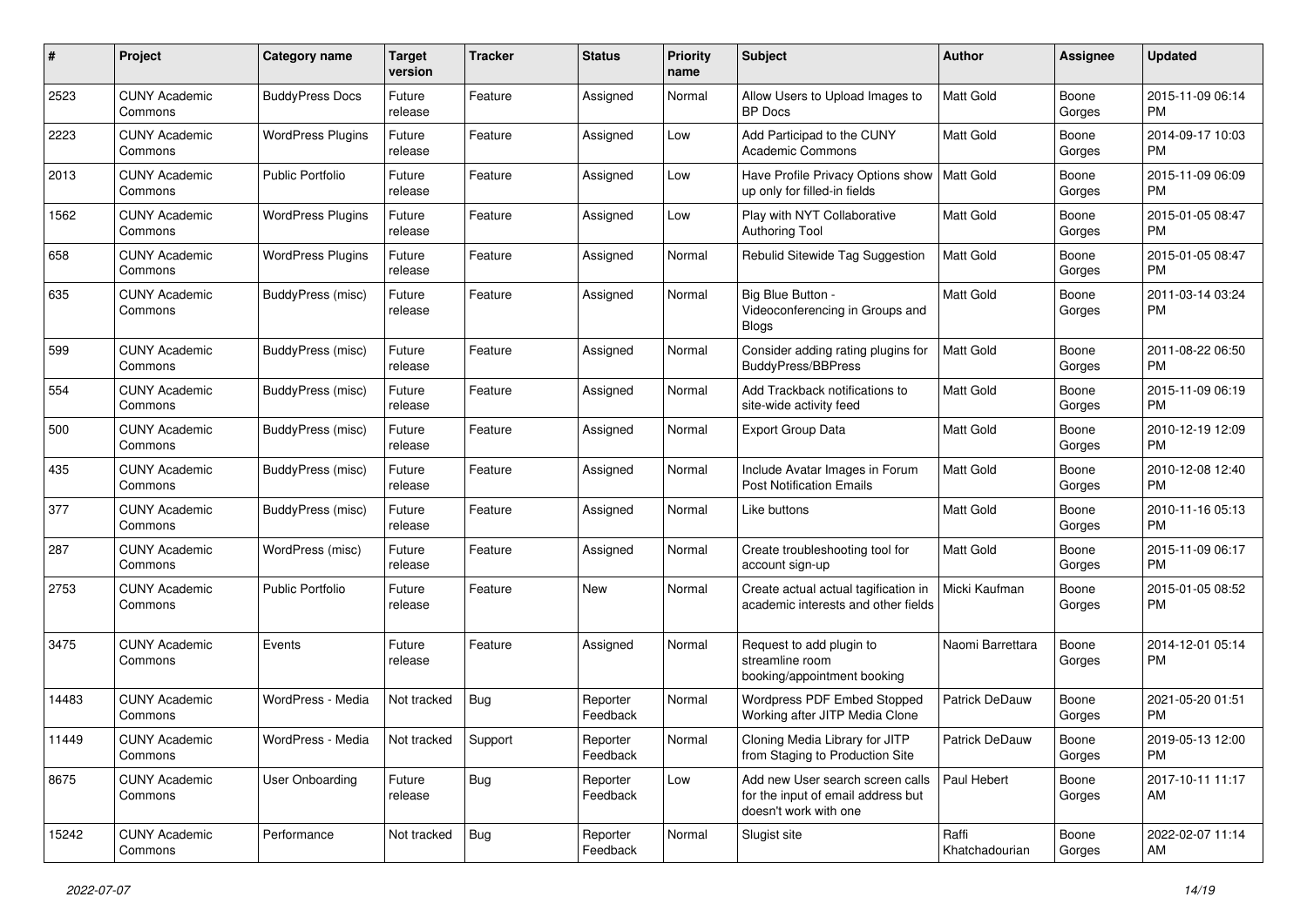| #     | Project                         | <b>Category name</b>     | <b>Target</b><br>version | <b>Tracker</b> | <b>Status</b>        | <b>Priority</b><br>name | Subject                                                                                         | <b>Author</b>           | Assignee        | <b>Updated</b>                |
|-------|---------------------------------|--------------------------|--------------------------|----------------|----------------------|-------------------------|-------------------------------------------------------------------------------------------------|-------------------------|-----------------|-------------------------------|
| 2523  | <b>CUNY Academic</b><br>Commons | <b>BuddyPress Docs</b>   | Future<br>release        | Feature        | Assigned             | Normal                  | Allow Users to Upload Images to<br><b>BP</b> Docs                                               | <b>Matt Gold</b>        | Boone<br>Gorges | 2015-11-09 06:14<br>PM        |
| 2223  | <b>CUNY Academic</b><br>Commons | <b>WordPress Plugins</b> | Future<br>release        | Feature        | Assigned             | Low                     | Add Participad to the CUNY<br><b>Academic Commons</b>                                           | <b>Matt Gold</b>        | Boone<br>Gorges | 2014-09-17 10:03<br>PM        |
| 2013  | <b>CUNY Academic</b><br>Commons | <b>Public Portfolio</b>  | Future<br>release        | Feature        | Assigned             | Low                     | Have Profile Privacy Options show<br>up only for filled-in fields                               | Matt Gold               | Boone<br>Gorges | 2015-11-09 06:09<br><b>PM</b> |
| 1562  | <b>CUNY Academic</b><br>Commons | <b>WordPress Plugins</b> | Future<br>release        | Feature        | Assigned             | Low                     | Play with NYT Collaborative<br><b>Authoring Tool</b>                                            | Matt Gold               | Boone<br>Gorges | 2015-01-05 08:47<br>PM        |
| 658   | <b>CUNY Academic</b><br>Commons | <b>WordPress Plugins</b> | Future<br>release        | Feature        | Assigned             | Normal                  | Rebulid Sitewide Tag Suggestion                                                                 | Matt Gold               | Boone<br>Gorges | 2015-01-05 08:47<br>PM        |
| 635   | <b>CUNY Academic</b><br>Commons | BuddyPress (misc)        | Future<br>release        | Feature        | Assigned             | Normal                  | Big Blue Button -<br>Videoconferencing in Groups and<br><b>Blogs</b>                            | Matt Gold               | Boone<br>Gorges | 2011-03-14 03:24<br>PM        |
| 599   | <b>CUNY Academic</b><br>Commons | BuddyPress (misc)        | Future<br>release        | Feature        | Assigned             | Normal                  | Consider adding rating plugins for<br>BuddyPress/BBPress                                        | <b>Matt Gold</b>        | Boone<br>Gorges | 2011-08-22 06:50<br>PM        |
| 554   | <b>CUNY Academic</b><br>Commons | BuddyPress (misc)        | Future<br>release        | Feature        | Assigned             | Normal                  | Add Trackback notifications to<br>site-wide activity feed                                       | <b>Matt Gold</b>        | Boone<br>Gorges | 2015-11-09 06:19<br>PM        |
| 500   | <b>CUNY Academic</b><br>Commons | BuddyPress (misc)        | Future<br>release        | Feature        | Assigned             | Normal                  | Export Group Data                                                                               | Matt Gold               | Boone<br>Gorges | 2010-12-19 12:09<br>PM        |
| 435   | <b>CUNY Academic</b><br>Commons | BuddyPress (misc)        | Future<br>release        | Feature        | Assigned             | Normal                  | Include Avatar Images in Forum<br><b>Post Notification Emails</b>                               | <b>Matt Gold</b>        | Boone<br>Gorges | 2010-12-08 12:40<br>PM        |
| 377   | <b>CUNY Academic</b><br>Commons | BuddyPress (misc)        | Future<br>release        | Feature        | Assigned             | Normal                  | Like buttons                                                                                    | Matt Gold               | Boone<br>Gorges | 2010-11-16 05:13<br>PM        |
| 287   | <b>CUNY Academic</b><br>Commons | WordPress (misc)         | Future<br>release        | Feature        | Assigned             | Normal                  | Create troubleshooting tool for<br>account sign-up                                              | Matt Gold               | Boone<br>Gorges | 2015-11-09 06:17<br>PM        |
| 2753  | <b>CUNY Academic</b><br>Commons | <b>Public Portfolio</b>  | Future<br>release        | Feature        | New                  | Normal                  | Create actual actual tagification in<br>academic interests and other fields                     | Micki Kaufman           | Boone<br>Gorges | 2015-01-05 08:52<br><b>PM</b> |
| 3475  | <b>CUNY Academic</b><br>Commons | Events                   | Future<br>release        | Feature        | Assigned             | Normal                  | Request to add plugin to<br>streamline room<br>booking/appointment booking                      | Naomi Barrettara        | Boone<br>Gorges | 2014-12-01 05:14<br>PM        |
| 14483 | <b>CUNY Academic</b><br>Commons | WordPress - Media        | Not tracked              | Bug            | Reporter<br>Feedback | Normal                  | Wordpress PDF Embed Stopped<br>Working after JITP Media Clone                                   | Patrick DeDauw          | Boone<br>Gorges | 2021-05-20 01:51<br>PM        |
| 11449 | <b>CUNY Academic</b><br>Commons | WordPress - Media        | Not tracked Support      |                | Reporter<br>Feedback | Normal                  | Cloning Media Library for JITP<br>from Staging to Production Site                               | Patrick DeDauw          | Boone<br>Gorges | 2019-05-13 12:00<br><b>PM</b> |
| 8675  | <b>CUNY Academic</b><br>Commons | User Onboarding          | Future<br>release        | <b>Bug</b>     | Reporter<br>Feedback | Low                     | Add new User search screen calls<br>for the input of email address but<br>doesn't work with one | Paul Hebert             | Boone<br>Gorges | 2017-10-11 11:17<br>AM        |
| 15242 | <b>CUNY Academic</b><br>Commons | Performance              | Not tracked              | Bug            | Reporter<br>Feedback | Normal                  | Slugist site                                                                                    | Raffi<br>Khatchadourian | Boone<br>Gorges | 2022-02-07 11:14<br>AM        |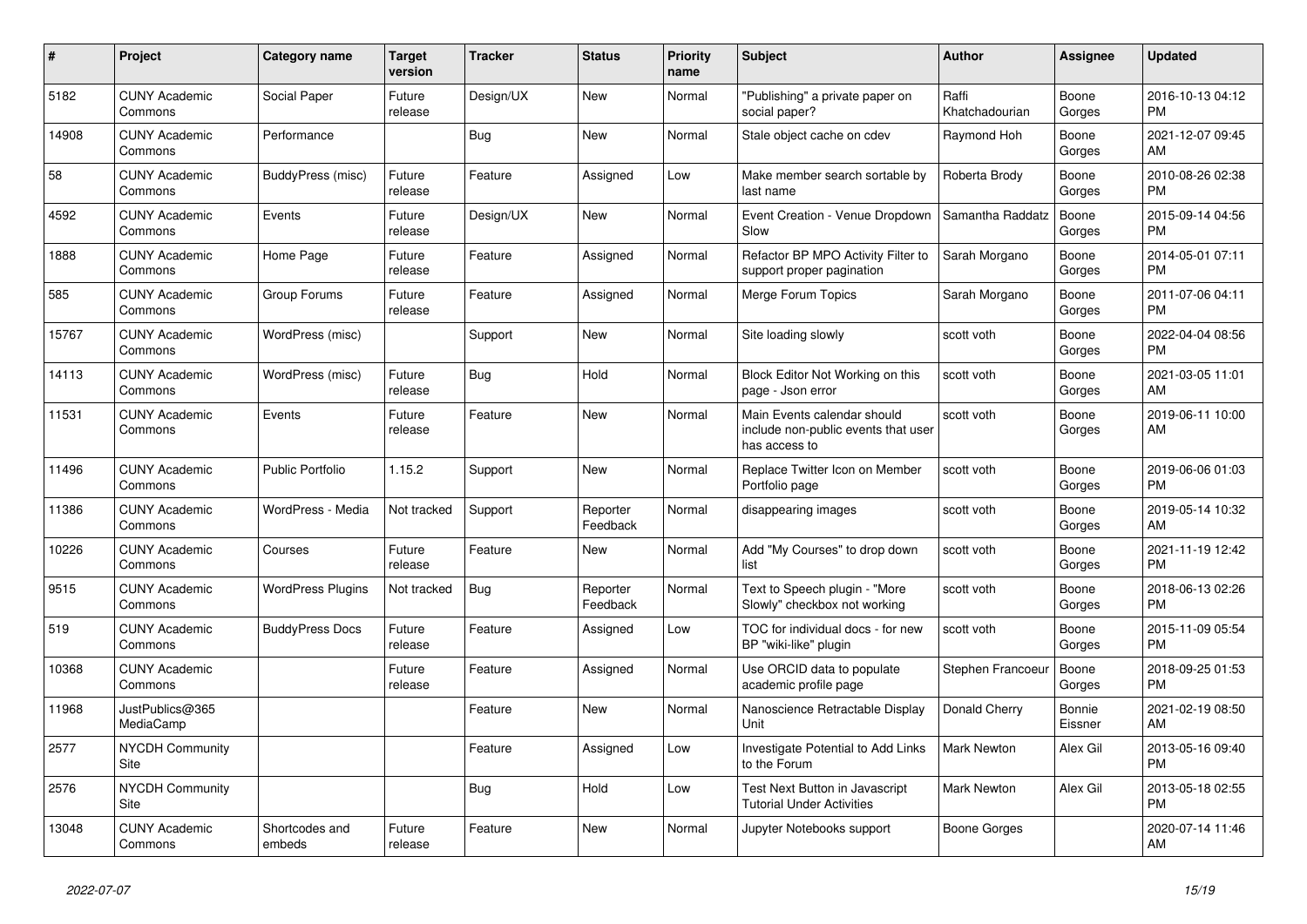| #     | Project                         | <b>Category name</b>     | <b>Target</b><br>version | <b>Tracker</b> | <b>Status</b>        | <b>Priority</b><br>name | <b>Subject</b>                                                                      | <b>Author</b>           | <b>Assignee</b>   | <b>Updated</b>                |
|-------|---------------------------------|--------------------------|--------------------------|----------------|----------------------|-------------------------|-------------------------------------------------------------------------------------|-------------------------|-------------------|-------------------------------|
| 5182  | <b>CUNY Academic</b><br>Commons | Social Paper             | Future<br>release        | Design/UX      | New                  | Normal                  | "Publishing" a private paper on<br>social paper?                                    | Raffi<br>Khatchadourian | Boone<br>Gorges   | 2016-10-13 04:12<br>PM        |
| 14908 | <b>CUNY Academic</b><br>Commons | Performance              |                          | Bug            | New                  | Normal                  | Stale object cache on cdev                                                          | Raymond Hoh             | Boone<br>Gorges   | 2021-12-07 09:45<br>AM        |
| 58    | <b>CUNY Academic</b><br>Commons | BuddyPress (misc)        | Future<br>release        | Feature        | Assigned             | Low                     | Make member search sortable by<br>last name                                         | Roberta Brody           | Boone<br>Gorges   | 2010-08-26 02:38<br><b>PM</b> |
| 4592  | <b>CUNY Academic</b><br>Commons | Events                   | Future<br>release        | Design/UX      | <b>New</b>           | Normal                  | Event Creation - Venue Dropdown<br>Slow                                             | Samantha Raddatz        | Boone<br>Gorges   | 2015-09-14 04:56<br>PM        |
| 1888  | <b>CUNY Academic</b><br>Commons | Home Page                | Future<br>release        | Feature        | Assigned             | Normal                  | Refactor BP MPO Activity Filter to<br>support proper pagination                     | Sarah Morgano           | Boone<br>Gorges   | 2014-05-01 07:11<br><b>PM</b> |
| 585   | <b>CUNY Academic</b><br>Commons | Group Forums             | Future<br>release        | Feature        | Assigned             | Normal                  | Merge Forum Topics                                                                  | Sarah Morgano           | Boone<br>Gorges   | 2011-07-06 04:11<br><b>PM</b> |
| 15767 | <b>CUNY Academic</b><br>Commons | WordPress (misc)         |                          | Support        | New                  | Normal                  | Site loading slowly                                                                 | scott voth              | Boone<br>Gorges   | 2022-04-04 08:56<br><b>PM</b> |
| 14113 | <b>CUNY Academic</b><br>Commons | WordPress (misc)         | Future<br>release        | Bug            | Hold                 | Normal                  | Block Editor Not Working on this<br>page - Json error                               | scott voth              | Boone<br>Gorges   | 2021-03-05 11:01<br>AM        |
| 11531 | <b>CUNY Academic</b><br>Commons | Events                   | Future<br>release        | Feature        | <b>New</b>           | Normal                  | Main Events calendar should<br>include non-public events that user<br>has access to | scott voth              | Boone<br>Gorges   | 2019-06-11 10:00<br>AM        |
| 11496 | <b>CUNY Academic</b><br>Commons | <b>Public Portfolio</b>  | 1.15.2                   | Support        | New                  | Normal                  | Replace Twitter Icon on Member<br>Portfolio page                                    | scott voth              | Boone<br>Gorges   | 2019-06-06 01:03<br>PM        |
| 11386 | <b>CUNY Academic</b><br>Commons | WordPress - Media        | Not tracked              | Support        | Reporter<br>Feedback | Normal                  | disappearing images                                                                 | scott voth              | Boone<br>Gorges   | 2019-05-14 10:32<br>AM        |
| 10226 | <b>CUNY Academic</b><br>Commons | Courses                  | Future<br>release        | Feature        | New                  | Normal                  | Add "My Courses" to drop down<br>list                                               | scott voth              | Boone<br>Gorges   | 2021-11-19 12:42<br>PM        |
| 9515  | <b>CUNY Academic</b><br>Commons | <b>WordPress Plugins</b> | Not tracked              | <b>Bug</b>     | Reporter<br>Feedback | Normal                  | Text to Speech plugin - "More<br>Slowly" checkbox not working                       | scott voth              | Boone<br>Gorges   | 2018-06-13 02:26<br><b>PM</b> |
| 519   | <b>CUNY Academic</b><br>Commons | <b>BuddyPress Docs</b>   | Future<br>release        | Feature        | Assigned             | Low                     | TOC for individual docs - for new<br>BP "wiki-like" plugin                          | scott voth              | Boone<br>Gorges   | 2015-11-09 05:54<br><b>PM</b> |
| 10368 | <b>CUNY Academic</b><br>Commons |                          | Future<br>release        | Feature        | Assigned             | Normal                  | Use ORCID data to populate<br>academic profile page                                 | Stephen Francoeu        | Boone<br>Gorges   | 2018-09-25 01:53<br>PM        |
| 11968 | JustPublics@365<br>MediaCamp    |                          |                          | Feature        | <b>New</b>           | Normal                  | Nanoscience Retractable Display<br>Unit                                             | Donald Cherry           | Bonnie<br>Eissner | 2021-02-19 08:50<br>AM        |
| 2577  | <b>NYCDH Community</b><br>Site  |                          |                          | Feature        | Assigned             | Low                     | <b>Investigate Potential to Add Links</b><br>to the Forum                           | <b>Mark Newton</b>      | Alex Gil          | 2013-05-16 09:40<br><b>PM</b> |
| 2576  | <b>NYCDH Community</b><br>Site  |                          |                          | <b>Bug</b>     | Hold                 | Low                     | Test Next Button in Javascript<br><b>Tutorial Under Activities</b>                  | Mark Newton             | Alex Gil          | 2013-05-18 02:55<br>PM        |
| 13048 | <b>CUNY Academic</b><br>Commons | Shortcodes and<br>embeds | Future<br>release        | Feature        | <b>New</b>           | Normal                  | Jupyter Notebooks support                                                           | Boone Gorges            |                   | 2020-07-14 11:46<br>AM        |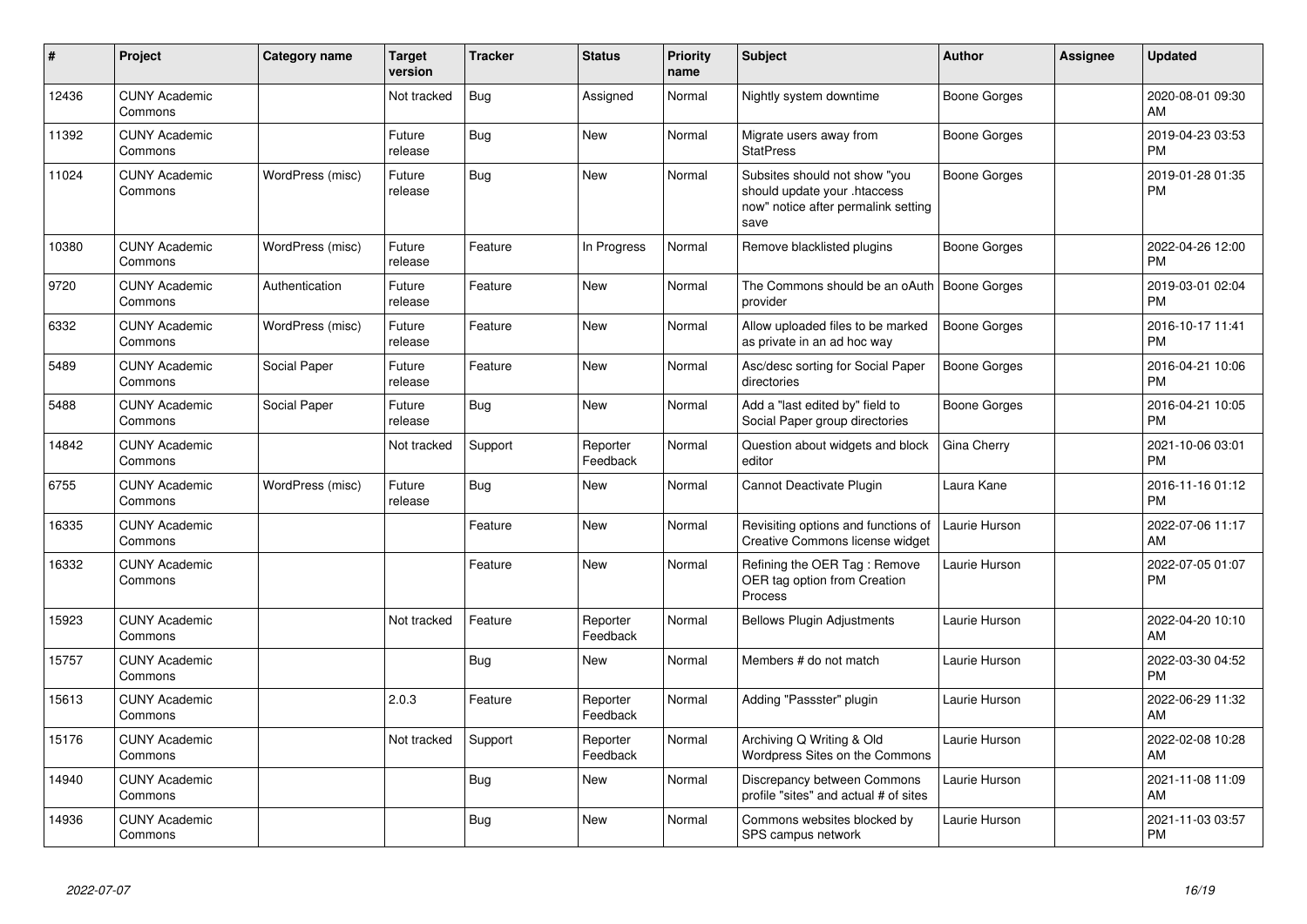| #     | Project                         | <b>Category name</b> | <b>Target</b><br>version | <b>Tracker</b> | <b>Status</b>        | <b>Priority</b><br>name | Subject                                                                                                      | <b>Author</b>       | <b>Assignee</b> | <b>Updated</b>                |
|-------|---------------------------------|----------------------|--------------------------|----------------|----------------------|-------------------------|--------------------------------------------------------------------------------------------------------------|---------------------|-----------------|-------------------------------|
| 12436 | <b>CUNY Academic</b><br>Commons |                      | Not tracked              | Bug            | Assigned             | Normal                  | Nightly system downtime                                                                                      | Boone Gorges        |                 | 2020-08-01 09:30<br>AM        |
| 11392 | <b>CUNY Academic</b><br>Commons |                      | Future<br>release        | Bug            | <b>New</b>           | Normal                  | Migrate users away from<br><b>StatPress</b>                                                                  | Boone Gorges        |                 | 2019-04-23 03:53<br><b>PM</b> |
| 11024 | <b>CUNY Academic</b><br>Commons | WordPress (misc)     | Future<br>release        | Bug            | New                  | Normal                  | Subsites should not show "you<br>should update your .htaccess<br>now" notice after permalink setting<br>save | Boone Gorges        |                 | 2019-01-28 01:35<br><b>PM</b> |
| 10380 | <b>CUNY Academic</b><br>Commons | WordPress (misc)     | Future<br>release        | Feature        | In Progress          | Normal                  | Remove blacklisted plugins                                                                                   | <b>Boone Gorges</b> |                 | 2022-04-26 12:00<br><b>PM</b> |
| 9720  | <b>CUNY Academic</b><br>Commons | Authentication       | Future<br>release        | Feature        | <b>New</b>           | Normal                  | The Commons should be an oAuth   Boone Gorges<br>provider                                                    |                     |                 | 2019-03-01 02:04<br><b>PM</b> |
| 6332  | <b>CUNY Academic</b><br>Commons | WordPress (misc)     | Future<br>release        | Feature        | New                  | Normal                  | Allow uploaded files to be marked<br>as private in an ad hoc way                                             | <b>Boone Gorges</b> |                 | 2016-10-17 11:41<br><b>PM</b> |
| 5489  | <b>CUNY Academic</b><br>Commons | Social Paper         | Future<br>release        | Feature        | <b>New</b>           | Normal                  | Asc/desc sorting for Social Paper<br>directories                                                             | Boone Gorges        |                 | 2016-04-21 10:06<br><b>PM</b> |
| 5488  | <b>CUNY Academic</b><br>Commons | Social Paper         | Future<br>release        | <b>Bug</b>     | New                  | Normal                  | Add a "last edited by" field to<br>Social Paper group directories                                            | Boone Gorges        |                 | 2016-04-21 10:05<br><b>PM</b> |
| 14842 | <b>CUNY Academic</b><br>Commons |                      | Not tracked              | Support        | Reporter<br>Feedback | Normal                  | Question about widgets and block<br>editor                                                                   | Gina Cherry         |                 | 2021-10-06 03:01<br>PM        |
| 6755  | <b>CUNY Academic</b><br>Commons | WordPress (misc)     | Future<br>release        | Bug            | New                  | Normal                  | Cannot Deactivate Plugin                                                                                     | Laura Kane          |                 | 2016-11-16 01:12<br><b>PM</b> |
| 16335 | <b>CUNY Academic</b><br>Commons |                      |                          | Feature        | <b>New</b>           | Normal                  | Revisiting options and functions of<br>Creative Commons license widget                                       | Laurie Hurson       |                 | 2022-07-06 11:17<br>AM        |
| 16332 | <b>CUNY Academic</b><br>Commons |                      |                          | Feature        | New                  | Normal                  | Refining the OER Tag: Remove<br>OER tag option from Creation<br>Process                                      | Laurie Hurson       |                 | 2022-07-05 01:07<br><b>PM</b> |
| 15923 | <b>CUNY Academic</b><br>Commons |                      | Not tracked              | Feature        | Reporter<br>Feedback | Normal                  | <b>Bellows Plugin Adjustments</b>                                                                            | Laurie Hurson       |                 | 2022-04-20 10:10<br>AM        |
| 15757 | <b>CUNY Academic</b><br>Commons |                      |                          | Bug            | <b>New</b>           | Normal                  | Members # do not match                                                                                       | Laurie Hurson       |                 | 2022-03-30 04:52<br><b>PM</b> |
| 15613 | <b>CUNY Academic</b><br>Commons |                      | 2.0.3                    | Feature        | Reporter<br>Feedback | Normal                  | Adding "Passster" plugin                                                                                     | Laurie Hurson       |                 | 2022-06-29 11:32<br>AM        |
| 15176 | <b>CUNY Academic</b><br>Commons |                      | Not tracked              | Support        | Reporter<br>Feedback | Normal                  | Archiving Q Writing & Old<br>Wordpress Sites on the Commons                                                  | Laurie Hurson       |                 | 2022-02-08 10:28<br>AM        |
| 14940 | <b>CUNY Academic</b><br>Commons |                      |                          | Bug            | New                  | Normal                  | Discrepancy between Commons<br>profile "sites" and actual # of sites                                         | Laurie Hurson       |                 | 2021-11-08 11:09<br>AM        |
| 14936 | <b>CUNY Academic</b><br>Commons |                      |                          | Bug            | New                  | Normal                  | Commons websites blocked by<br>SPS campus network                                                            | Laurie Hurson       |                 | 2021-11-03 03:57<br><b>PM</b> |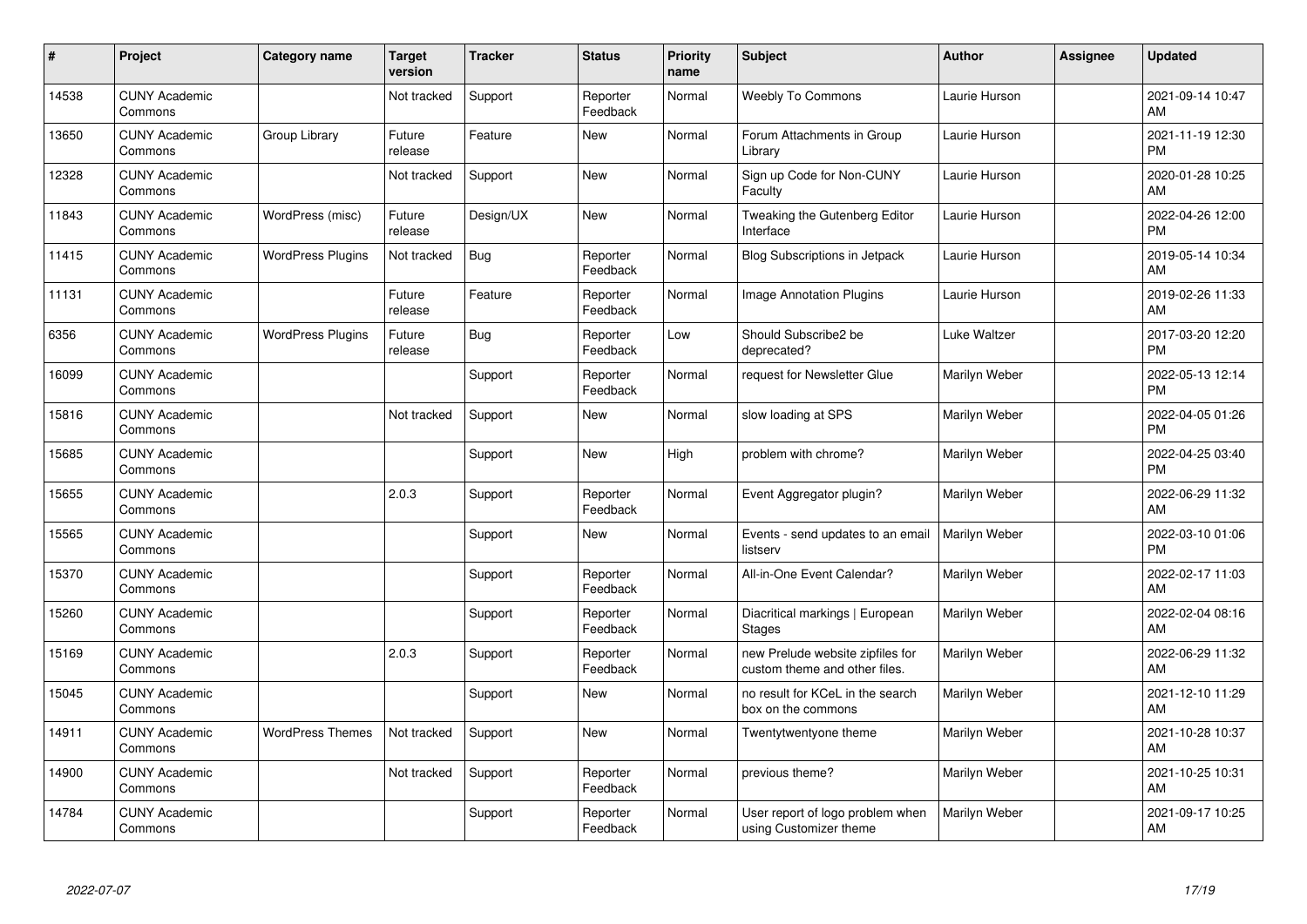| #     | Project                         | <b>Category name</b>     | <b>Target</b><br>version | <b>Tracker</b> | <b>Status</b>        | Priority<br>name | <b>Subject</b>                                                    | <b>Author</b> | <b>Assignee</b> | <b>Updated</b>                |
|-------|---------------------------------|--------------------------|--------------------------|----------------|----------------------|------------------|-------------------------------------------------------------------|---------------|-----------------|-------------------------------|
| 14538 | <b>CUNY Academic</b><br>Commons |                          | Not tracked              | Support        | Reporter<br>Feedback | Normal           | <b>Weebly To Commons</b>                                          | Laurie Hurson |                 | 2021-09-14 10:47<br>AM        |
| 13650 | <b>CUNY Academic</b><br>Commons | Group Library            | Future<br>release        | Feature        | New                  | Normal           | Forum Attachments in Group<br>Library                             | Laurie Hurson |                 | 2021-11-19 12:30<br><b>PM</b> |
| 12328 | <b>CUNY Academic</b><br>Commons |                          | Not tracked              | Support        | <b>New</b>           | Normal           | Sign up Code for Non-CUNY<br>Faculty                              | Laurie Hurson |                 | 2020-01-28 10:25<br>AM        |
| 11843 | <b>CUNY Academic</b><br>Commons | WordPress (misc)         | Future<br>release        | Design/UX      | <b>New</b>           | Normal           | Tweaking the Gutenberg Editor<br>Interface                        | Laurie Hurson |                 | 2022-04-26 12:00<br><b>PM</b> |
| 11415 | <b>CUNY Academic</b><br>Commons | <b>WordPress Plugins</b> | Not tracked              | <b>Bug</b>     | Reporter<br>Feedback | Normal           | Blog Subscriptions in Jetpack                                     | Laurie Hurson |                 | 2019-05-14 10:34<br>AM        |
| 11131 | <b>CUNY Academic</b><br>Commons |                          | Future<br>release        | Feature        | Reporter<br>Feedback | Normal           | <b>Image Annotation Plugins</b>                                   | Laurie Hurson |                 | 2019-02-26 11:33<br>AM        |
| 6356  | <b>CUNY Academic</b><br>Commons | <b>WordPress Plugins</b> | Future<br>release        | Bug            | Reporter<br>Feedback | Low              | Should Subscribe2 be<br>deprecated?                               | Luke Waltzer  |                 | 2017-03-20 12:20<br><b>PM</b> |
| 16099 | <b>CUNY Academic</b><br>Commons |                          |                          | Support        | Reporter<br>Feedback | Normal           | request for Newsletter Glue                                       | Marilyn Weber |                 | 2022-05-13 12:14<br><b>PM</b> |
| 15816 | <b>CUNY Academic</b><br>Commons |                          | Not tracked              | Support        | New                  | Normal           | slow loading at SPS                                               | Marilyn Weber |                 | 2022-04-05 01:26<br><b>PM</b> |
| 15685 | <b>CUNY Academic</b><br>Commons |                          |                          | Support        | <b>New</b>           | High             | problem with chrome?                                              | Marilyn Weber |                 | 2022-04-25 03:40<br><b>PM</b> |
| 15655 | <b>CUNY Academic</b><br>Commons |                          | 2.0.3                    | Support        | Reporter<br>Feedback | Normal           | Event Aggregator plugin?                                          | Marilyn Weber |                 | 2022-06-29 11:32<br>AM        |
| 15565 | <b>CUNY Academic</b><br>Commons |                          |                          | Support        | <b>New</b>           | Normal           | Events - send updates to an email<br>listserv                     | Marilyn Weber |                 | 2022-03-10 01:06<br><b>PM</b> |
| 15370 | <b>CUNY Academic</b><br>Commons |                          |                          | Support        | Reporter<br>Feedback | Normal           | All-in-One Event Calendar?                                        | Marilyn Weber |                 | 2022-02-17 11:03<br>AM        |
| 15260 | <b>CUNY Academic</b><br>Commons |                          |                          | Support        | Reporter<br>Feedback | Normal           | Diacritical markings   European<br>Stages                         | Marilyn Weber |                 | 2022-02-04 08:16<br>AM        |
| 15169 | <b>CUNY Academic</b><br>Commons |                          | 2.0.3                    | Support        | Reporter<br>Feedback | Normal           | new Prelude website zipfiles for<br>custom theme and other files. | Marilyn Weber |                 | 2022-06-29 11:32<br>AM        |
| 15045 | <b>CUNY Academic</b><br>Commons |                          |                          | Support        | New                  | Normal           | no result for KCeL in the search<br>box on the commons            | Marilyn Weber |                 | 2021-12-10 11:29<br>AM        |
| 14911 | <b>CUNY Academic</b><br>Commons | <b>WordPress Themes</b>  | Not tracked              | Support        | New                  | Normal           | Twentytwentyone theme                                             | Marilyn Weber |                 | 2021-10-28 10:37<br>AM        |
| 14900 | <b>CUNY Academic</b><br>Commons |                          | Not tracked              | Support        | Reporter<br>Feedback | Normal           | previous theme?                                                   | Marilyn Weber |                 | 2021-10-25 10:31<br>AM        |
| 14784 | <b>CUNY Academic</b><br>Commons |                          |                          | Support        | Reporter<br>Feedback | Normal           | User report of logo problem when<br>using Customizer theme        | Marilyn Weber |                 | 2021-09-17 10:25<br>AM        |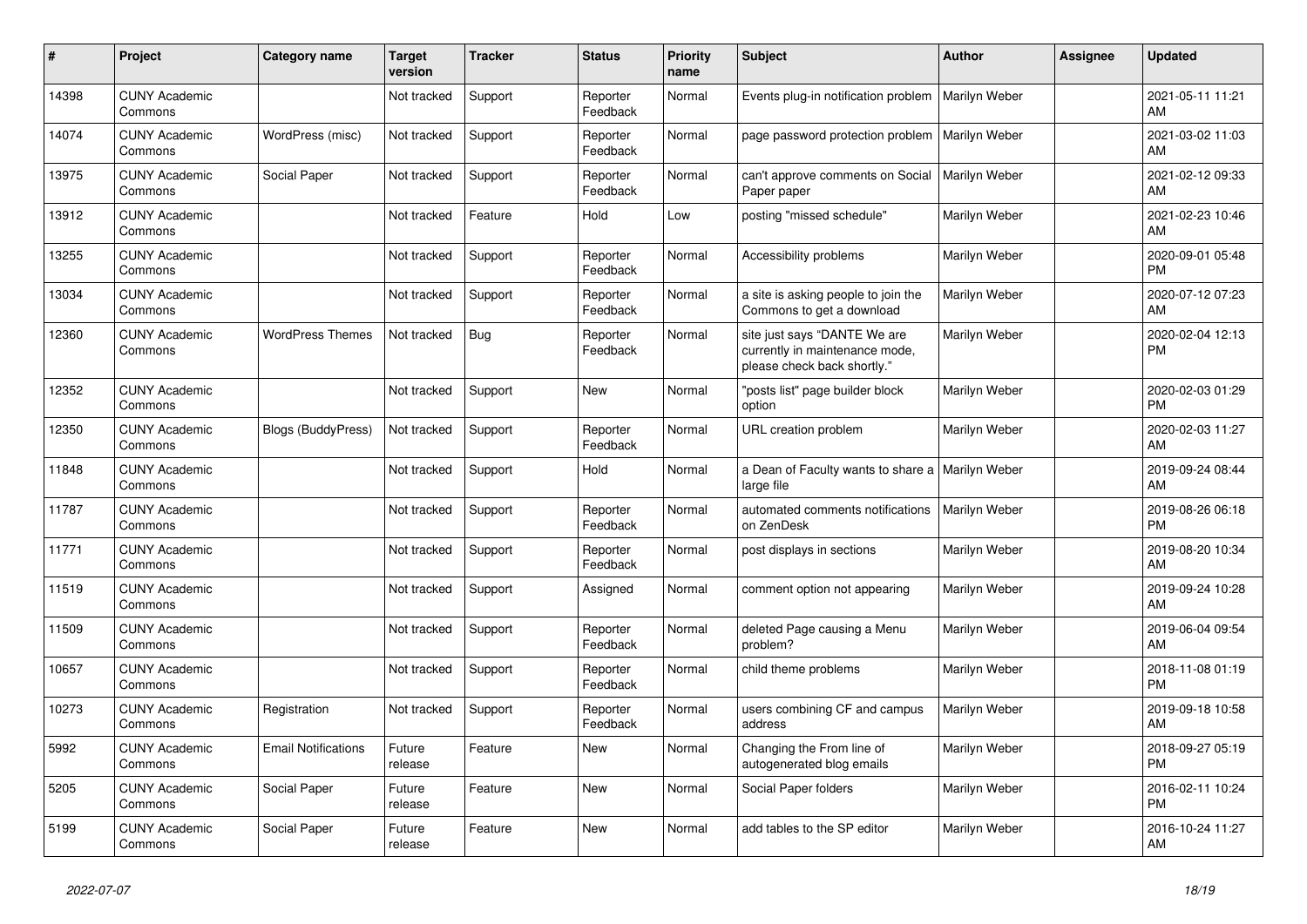| #     | Project                         | <b>Category name</b>       | <b>Target</b><br>version | <b>Tracker</b> | <b>Status</b>        | <b>Priority</b><br>name | <b>Subject</b>                                                                                | <b>Author</b> | <b>Assignee</b> | <b>Updated</b>                |
|-------|---------------------------------|----------------------------|--------------------------|----------------|----------------------|-------------------------|-----------------------------------------------------------------------------------------------|---------------|-----------------|-------------------------------|
| 14398 | <b>CUNY Academic</b><br>Commons |                            | Not tracked              | Support        | Reporter<br>Feedback | Normal                  | Events plug-in notification problem                                                           | Marilyn Weber |                 | 2021-05-11 11:21<br>AM        |
| 14074 | <b>CUNY Academic</b><br>Commons | WordPress (misc)           | Not tracked              | Support        | Reporter<br>Feedback | Normal                  | page password protection problem                                                              | Marilyn Weber |                 | 2021-03-02 11:03<br>AM        |
| 13975 | <b>CUNY Academic</b><br>Commons | Social Paper               | Not tracked              | Support        | Reporter<br>Feedback | Normal                  | can't approve comments on Social<br>Paper paper                                               | Marilyn Weber |                 | 2021-02-12 09:33<br>AM        |
| 13912 | <b>CUNY Academic</b><br>Commons |                            | Not tracked              | Feature        | Hold                 | Low                     | posting "missed schedule"                                                                     | Marilyn Weber |                 | 2021-02-23 10:46<br>AM        |
| 13255 | <b>CUNY Academic</b><br>Commons |                            | Not tracked              | Support        | Reporter<br>Feedback | Normal                  | Accessibility problems                                                                        | Marilyn Weber |                 | 2020-09-01 05:48<br><b>PM</b> |
| 13034 | <b>CUNY Academic</b><br>Commons |                            | Not tracked              | Support        | Reporter<br>Feedback | Normal                  | a site is asking people to join the<br>Commons to get a download                              | Marilyn Weber |                 | 2020-07-12 07:23<br>AM        |
| 12360 | <b>CUNY Academic</b><br>Commons | <b>WordPress Themes</b>    | Not tracked              | Bug            | Reporter<br>Feedback | Normal                  | site just says "DANTE We are<br>currently in maintenance mode,<br>please check back shortly." | Marilyn Weber |                 | 2020-02-04 12:13<br>PM        |
| 12352 | <b>CUNY Academic</b><br>Commons |                            | Not tracked              | Support        | New                  | Normal                  | "posts list" page builder block<br>option                                                     | Marilyn Weber |                 | 2020-02-03 01:29<br><b>PM</b> |
| 12350 | <b>CUNY Academic</b><br>Commons | <b>Blogs (BuddyPress)</b>  | Not tracked              | Support        | Reporter<br>Feedback | Normal                  | URL creation problem                                                                          | Marilyn Weber |                 | 2020-02-03 11:27<br>AM        |
| 11848 | <b>CUNY Academic</b><br>Commons |                            | Not tracked              | Support        | Hold                 | Normal                  | a Dean of Faculty wants to share a<br>large file                                              | Marilyn Weber |                 | 2019-09-24 08:44<br>AM        |
| 11787 | <b>CUNY Academic</b><br>Commons |                            | Not tracked              | Support        | Reporter<br>Feedback | Normal                  | automated comments notifications<br>on ZenDesk                                                | Marilyn Weber |                 | 2019-08-26 06:18<br><b>PM</b> |
| 11771 | <b>CUNY Academic</b><br>Commons |                            | Not tracked              | Support        | Reporter<br>Feedback | Normal                  | post displays in sections                                                                     | Marilyn Weber |                 | 2019-08-20 10:34<br>AM        |
| 11519 | <b>CUNY Academic</b><br>Commons |                            | Not tracked              | Support        | Assigned             | Normal                  | comment option not appearing                                                                  | Marilyn Weber |                 | 2019-09-24 10:28<br>AM        |
| 11509 | <b>CUNY Academic</b><br>Commons |                            | Not tracked              | Support        | Reporter<br>Feedback | Normal                  | deleted Page causing a Menu<br>problem?                                                       | Marilyn Weber |                 | 2019-06-04 09:54<br>AM        |
| 10657 | <b>CUNY Academic</b><br>Commons |                            | Not tracked              | Support        | Reporter<br>Feedback | Normal                  | child theme problems                                                                          | Marilyn Weber |                 | 2018-11-08 01:19<br><b>PM</b> |
| 10273 | <b>CUNY Academic</b><br>Commons | Registration               | Not tracked              | Support        | Reporter<br>Feedback | Normal                  | users combining CF and campus<br>address                                                      | Marilyn Weber |                 | 2019-09-18 10:58<br>AM        |
| 5992  | <b>CUNY Academic</b><br>Commons | <b>Email Notifications</b> | Future<br>release        | Feature        | <b>New</b>           | Normal                  | Changing the From line of<br>autogenerated blog emails                                        | Marilyn Weber |                 | 2018-09-27 05:19<br><b>PM</b> |
| 5205  | <b>CUNY Academic</b><br>Commons | Social Paper               | Future<br>release        | Feature        | New                  | Normal                  | Social Paper folders                                                                          | Marilyn Weber |                 | 2016-02-11 10:24<br><b>PM</b> |
| 5199  | <b>CUNY Academic</b><br>Commons | Social Paper               | Future<br>release        | Feature        | <b>New</b>           | Normal                  | add tables to the SP editor                                                                   | Marilyn Weber |                 | 2016-10-24 11:27<br>AM        |